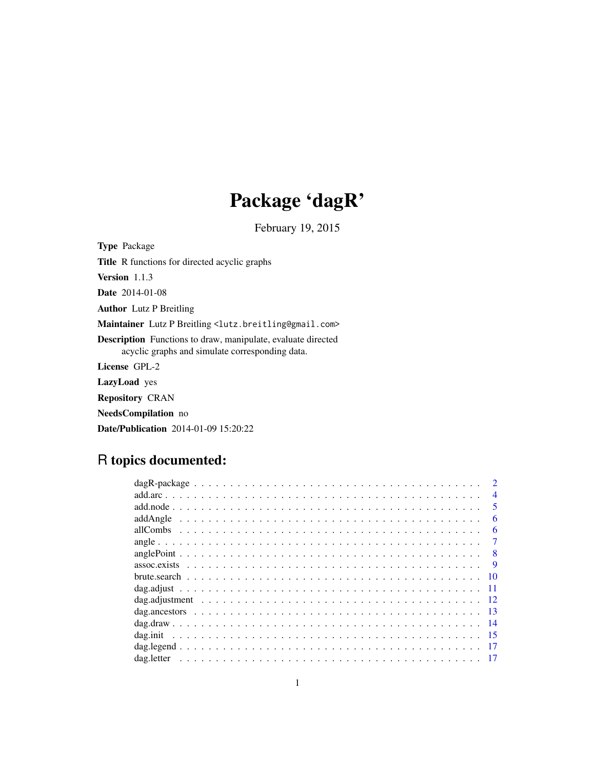# Package 'dagR'

February 19, 2015

Type Package Title R functions for directed acyclic graphs Version 1.1.3 Date 2014-01-08 Author Lutz P Breitling Maintainer Lutz P Breitling <lutz.breitling@gmail.com> Description Functions to draw, manipulate, evaluate directed acyclic graphs and simulate corresponding data. License GPL-2 LazyLoad yes Repository CRAN NeedsCompilation no

Date/Publication 2014-01-09 15:20:22

# R topics documented:

| $\overline{4}$          |
|-------------------------|
| $\overline{\mathbf{5}}$ |
| 6                       |
| 6                       |
|                         |
| $\mathbf{R}$            |
|                         |
|                         |
| -11                     |
|                         |
| -13                     |
|                         |
|                         |
|                         |
|                         |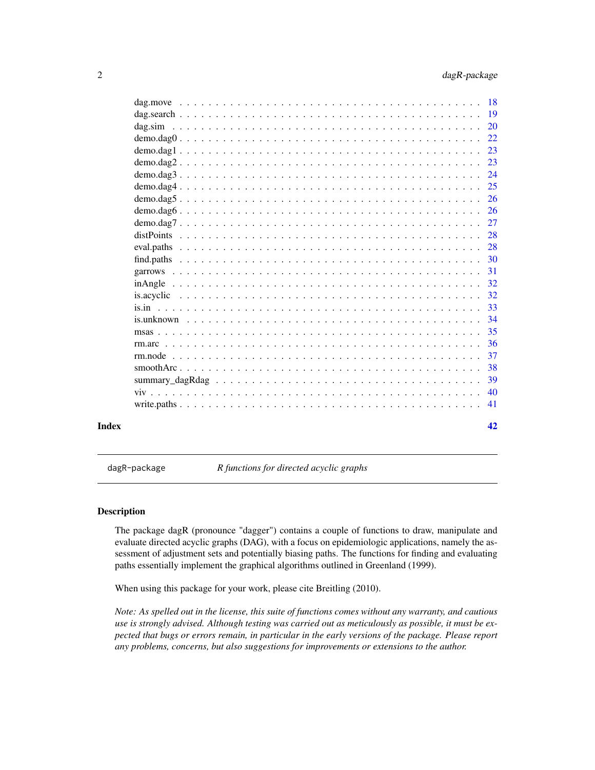<span id="page-1-0"></span>

| Index | 42            |
|-------|---------------|
|       | 41            |
|       | 40            |
|       | 39            |
|       | 38            |
|       | 37            |
|       | 36            |
|       | 35            |
|       | 34            |
|       | 33            |
|       | 32            |
|       |               |
|       | 31            |
|       |               |
|       | 28            |
|       | 28            |
|       | 27            |
|       |               |
|       | <sup>26</sup> |
|       | 25            |
|       |               |
|       | 23            |
|       | 23            |
|       |               |
|       |               |
|       |               |
|       |               |

dagR-package *R functions for directed acyclic graphs*

# Description

The package dagR (pronounce "dagger") contains a couple of functions to draw, manipulate and evaluate directed acyclic graphs (DAG), with a focus on epidemiologic applications, namely the assessment of adjustment sets and potentially biasing paths. The functions for finding and evaluating paths essentially implement the graphical algorithms outlined in Greenland (1999).

When using this package for your work, please cite Breitling (2010).

*Note: As spelled out in the license, this suite of functions comes without any warranty, and cautious use is strongly advised. Although testing was carried out as meticulously as possible, it must be expected that bugs or errors remain, in particular in the early versions of the package. Please report any problems, concerns, but also suggestions for improvements or extensions to the author.*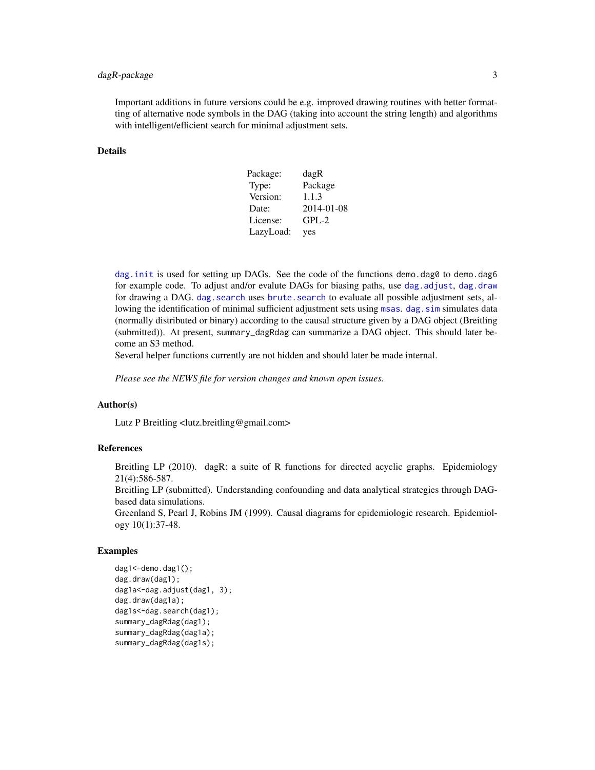# <span id="page-2-0"></span>dagR-package 3

Important additions in future versions could be e.g. improved drawing routines with better formatting of alternative node symbols in the DAG (taking into account the string length) and algorithms with intelligent/efficient search for minimal adjustment sets.

#### Details

| Package:  | dagR       |
|-----------|------------|
| Type:     | Package    |
| Version:  | 1.1.3      |
| Date:     | 2014-01-08 |
| License:  | $GPL-2$    |
| LazyLoad: | yes        |

dag. init is used for setting up DAGs. See the code of the functions demo.dag0 to demo.dag6 for example code. To adjust and/or evalute DAGs for biasing paths, use [dag.adjust](#page-10-1), [dag.draw](#page-13-1) for drawing a DAG, dag, search uses brute, search to evaluate all possible adjustment sets, allowing the identification of minimal sufficient adjustment sets using [msas](#page-34-1). dag. sim simulates data (normally distributed or binary) according to the causal structure given by a DAG object (Breitling (submitted)). At present, summary\_dagRdag can summarize a DAG object. This should later become an S3 method.

Several helper functions currently are not hidden and should later be made internal.

*Please see the NEWS file for version changes and known open issues.*

#### Author(s)

Lutz P Breitling <lutz.breitling@gmail.com>

#### References

Breitling LP (2010). dagR: a suite of R functions for directed acyclic graphs. Epidemiology 21(4):586-587.

Breitling LP (submitted). Understanding confounding and data analytical strategies through DAGbased data simulations.

Greenland S, Pearl J, Robins JM (1999). Causal diagrams for epidemiologic research. Epidemiology 10(1):37-48.

```
dag1<-demo.dag1();
dag.draw(dag1);
dag1a<-dag.adjust(dag1, 3);
dag.draw(dag1a);
dag1s<-dag.search(dag1);
summary_dagRdag(dag1);
summary_dagRdag(dag1a);
summary_dagRdag(dag1s);
```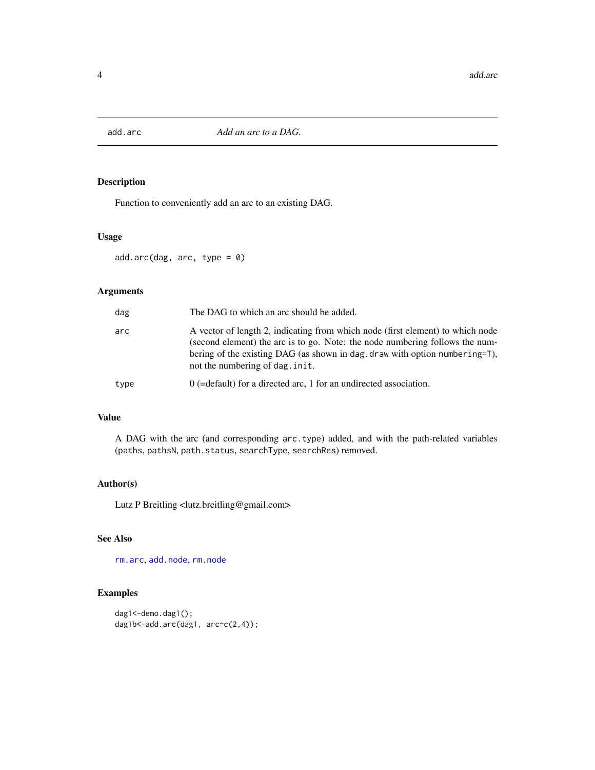<span id="page-3-1"></span><span id="page-3-0"></span>

Function to conveniently add an arc to an existing DAG.

# Usage

add.arc(dag, arc, type = 0)

# Arguments

| dag  | The DAG to which an arc should be added.                                                                                                                                                                                                                                         |
|------|----------------------------------------------------------------------------------------------------------------------------------------------------------------------------------------------------------------------------------------------------------------------------------|
| arc  | A vector of length 2, indicating from which node (first element) to which node<br>(second element) the arc is to go. Note: the node numbering follows the num-<br>bering of the existing DAG (as shown in dag. draw with option numbering=T),<br>not the numbering of dag. init. |
| type | $0$ (=default) for a directed arc, 1 for an undirected association.                                                                                                                                                                                                              |

# Value

A DAG with the arc (and corresponding arc.type) added, and with the path-related variables (paths, pathsN, path.status, searchType, searchRes) removed.

# Author(s)

Lutz P Breitling <lutz.breitling@gmail.com>

# See Also

[rm.arc](#page-35-1), [add.node](#page-4-1), [rm.node](#page-36-1)

```
dag1<-demo.dag1();
dag1b<-add.arc(dag1, arc=c(2,4));
```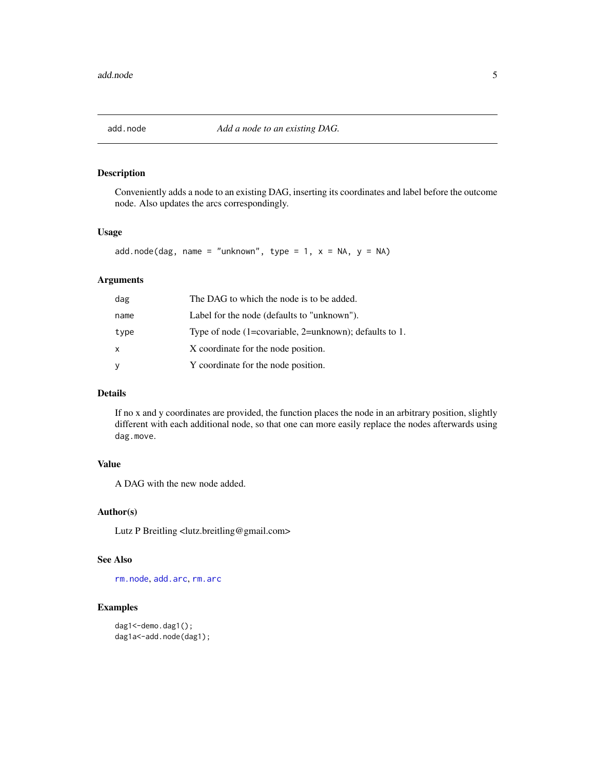<span id="page-4-1"></span><span id="page-4-0"></span>

Conveniently adds a node to an existing DAG, inserting its coordinates and label before the outcome node. Also updates the arcs correspondingly.

# Usage

add.node(dag, name = "unknown", type = 1,  $x = NA$ ,  $y = NA$ )

# Arguments

| dag  | The DAG to which the node is to be added.              |
|------|--------------------------------------------------------|
| name | Label for the node (defaults to "unknown").            |
| type | Type of node (1=covariable, 2=unknown); defaults to 1. |
| X    | X coordinate for the node position.                    |
| У    | Y coordinate for the node position.                    |

# Details

If no x and y coordinates are provided, the function places the node in an arbitrary position, slightly different with each additional node, so that one can more easily replace the nodes afterwards using dag.move.

# Value

A DAG with the new node added.

# Author(s)

Lutz P Breitling <lutz.breitling@gmail.com>

#### See Also

[rm.node](#page-36-1), [add.arc](#page-3-1), [rm.arc](#page-35-1)

```
dag1<-demo.dag1();
dag1a<-add.node(dag1);
```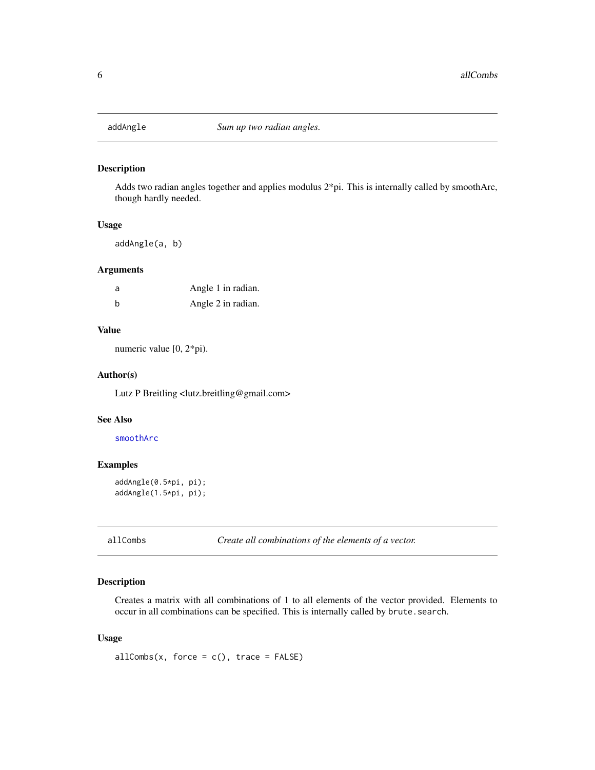<span id="page-5-1"></span><span id="page-5-0"></span>

Adds two radian angles together and applies modulus 2\*pi. This is internally called by smoothArc, though hardly needed.

# Usage

addAngle(a, b)

# Arguments

| a | Angle 1 in radian. |
|---|--------------------|
| b | Angle 2 in radian. |

# Value

numeric value [0, 2\*pi).

# Author(s)

Lutz P Breitling <lutz.breitling@gmail.com>

#### See Also

#### [smoothArc](#page-37-1)

# Examples

```
addAngle(0.5*pi, pi);
addAngle(1.5*pi, pi);
```
allCombs *Create all combinations of the elements of a vector.*

# Description

Creates a matrix with all combinations of 1 to all elements of the vector provided. Elements to occur in all combinations can be specified. This is internally called by brute.search.

#### Usage

 $allCombs(x, force = c(), trace = FALSE)$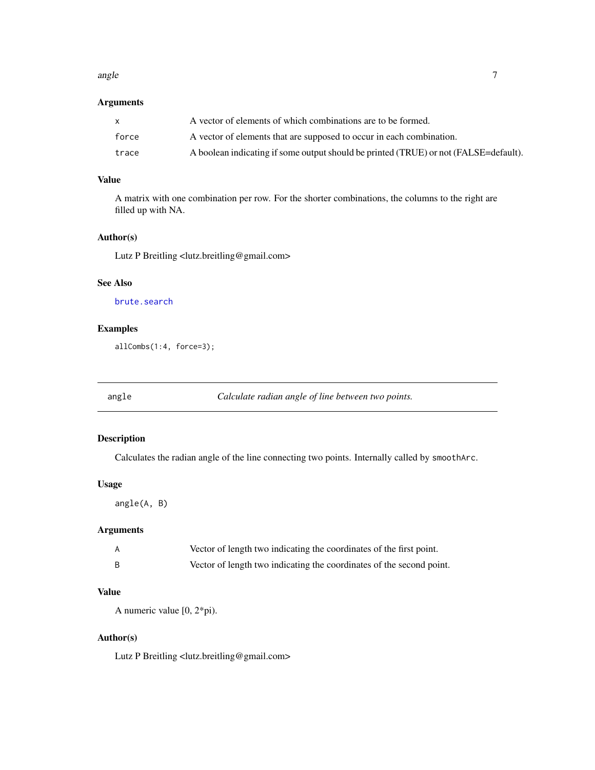#### <span id="page-6-0"></span>angle 7 and 7 and 7 and 7 and 7 and 7 and 7 and 7 and 7 and 7 and 7 and 7 and 7 and 7 and 7 and 7 and 7 and 7 and 7 and 7 and 7 and 7 and 7 and 7 and 7 and 7 and 7 and 7 and 7 and 7 and 7 and 7 and 7 and 7 and 7 and 7 and

# Arguments

|       | A vector of elements of which combinations are to be formed.                         |
|-------|--------------------------------------------------------------------------------------|
| force | A vector of elements that are supposed to occur in each combination.                 |
| trace | A boolean indicating if some output should be printed (TRUE) or not (FALSE=default). |

# Value

A matrix with one combination per row. For the shorter combinations, the columns to the right are filled up with NA.

# Author(s)

Lutz P Breitling <lutz.breitling@gmail.com>

# See Also

[brute.search](#page-9-1)

# Examples

allCombs(1:4, force=3);

angle *Calculate radian angle of line between two points.*

# Description

Calculates the radian angle of the line connecting two points. Internally called by smoothArc.

#### Usage

angle(A, B)

# Arguments

| Vector of length two indicating the coordinates of the first point.  |
|----------------------------------------------------------------------|
| Vector of length two indicating the coordinates of the second point. |

# Value

A numeric value [0, 2\*pi).

# Author(s)

Lutz P Breitling <lutz.breitling@gmail.com>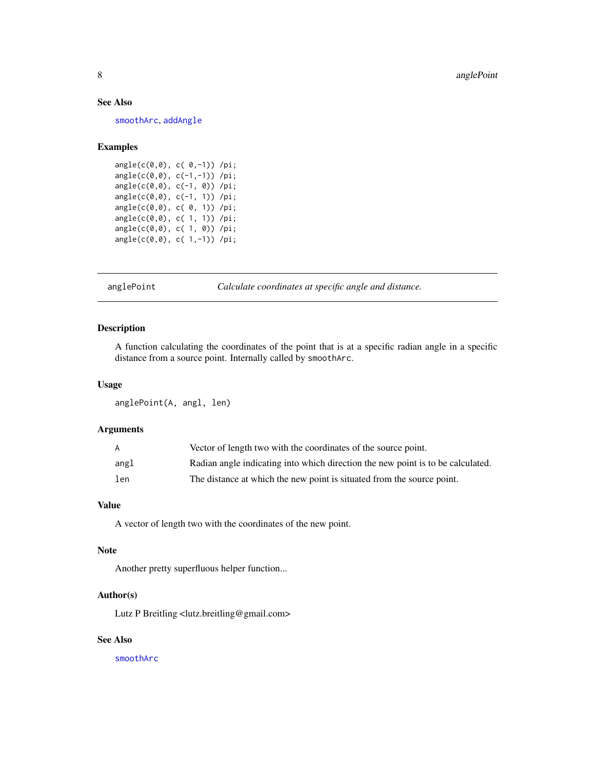# <span id="page-7-0"></span>See Also

[smoothArc](#page-37-1), [addAngle](#page-5-1)

# Examples

angle(c(0,0), c( 0,-1)) /pi; angle(c(0,0), c(-1,-1)) /pi; angle(c(0,0), c(-1, 0)) /pi; angle(c(0,0), c(-1, 1)) /pi; angle(c(0,0), c( 0, 1)) /pi; angle(c(0,0), c( 1, 1)) /pi; angle(c(0,0), c( 1, 0)) /pi; angle(c(0,0), c( 1,-1)) /pi;

anglePoint *Calculate coordinates at specific angle and distance.*

#### Description

A function calculating the coordinates of the point that is at a specific radian angle in a specific distance from a source point. Internally called by smoothArc.

# Usage

anglePoint(A, angl, len)

#### Arguments

| A    | Vector of length two with the coordinates of the source point.                  |
|------|---------------------------------------------------------------------------------|
| angl | Radian angle indicating into which direction the new point is to be calculated. |
| len  | The distance at which the new point is situated from the source point.          |

#### Value

A vector of length two with the coordinates of the new point.

#### Note

Another pretty superfluous helper function...

#### Author(s)

Lutz P Breitling <lutz.breitling@gmail.com>

# See Also

[smoothArc](#page-37-1)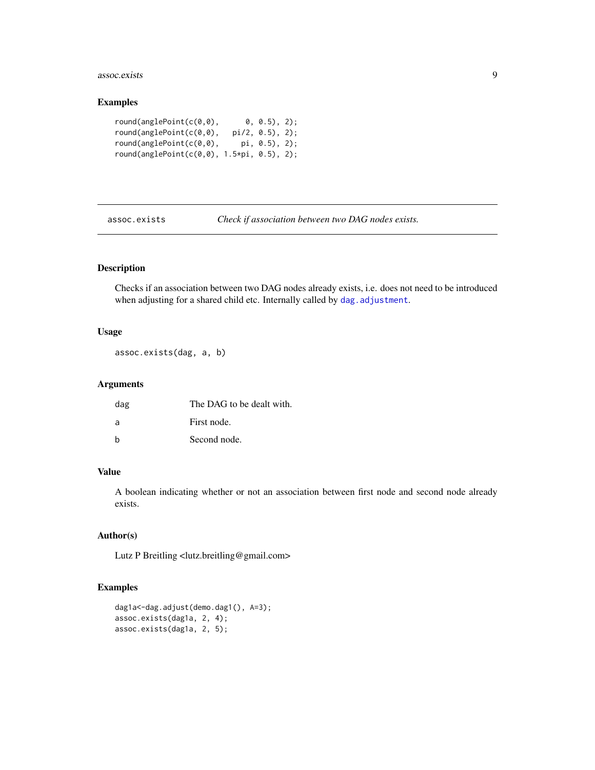#### <span id="page-8-0"></span>assoc.exists 9

# Examples

| round(anglePoint(c(0.0), |                             | 0, 0.5), 2);             |  |
|--------------------------|-----------------------------|--------------------------|--|
| round(anglePoint(c(0.0), |                             | pi/2, 0.5), 2);          |  |
| round(anglePoint(c(0.0), |                             | $pi, \ \theta.5), \ 2);$ |  |
| round(anglePoint(c(0,0), | $1.5 \star \pi$ , 0.5), 2); |                          |  |

assoc.exists *Check if association between two DAG nodes exists.*

# Description

Checks if an association between two DAG nodes already exists, i.e. does not need to be introduced when adjusting for a shared child etc. Internally called by [dag.adjustment](#page-11-1).

# Usage

```
assoc.exists(dag, a, b)
```
# Arguments

| dag | The DAG to be dealt with. |
|-----|---------------------------|
| a   | First node.               |
| h   | Second node.              |

# Value

A boolean indicating whether or not an association between first node and second node already exists.

# Author(s)

Lutz P Breitling <lutz.breitling@gmail.com>

```
dag1a<-dag.adjust(demo.dag1(), A=3);
assoc.exists(dag1a, 2, 4);
assoc.exists(dag1a, 2, 5);
```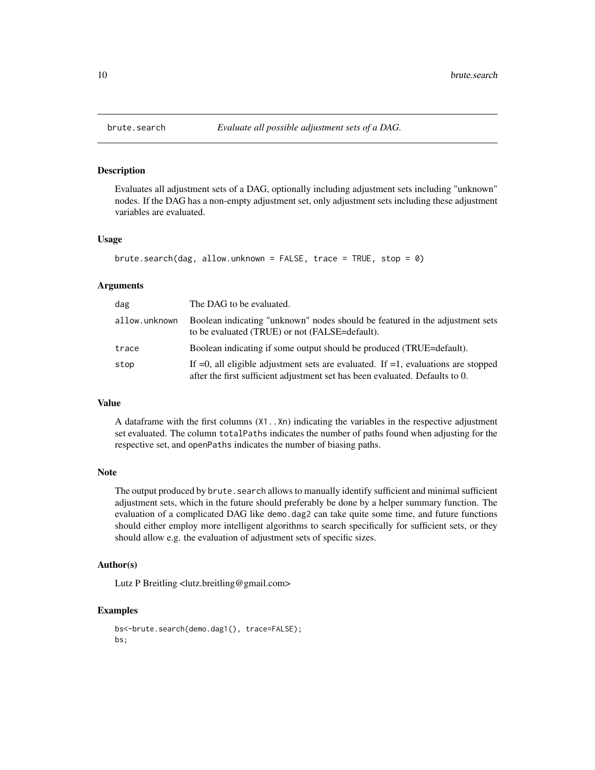Evaluates all adjustment sets of a DAG, optionally including adjustment sets including "unknown" nodes. If the DAG has a non-empty adjustment set, only adjustment sets including these adjustment variables are evaluated.

# Usage

```
brute.search(dag, allow.unknown = FALSE, trace = TRUE, stop = \theta)
```
#### Arguments

| dag           | The DAG to be evaluated.                                                                                                                                                |
|---------------|-------------------------------------------------------------------------------------------------------------------------------------------------------------------------|
| allow.unknown | Boolean indicating "unknown" nodes should be featured in the adjustment sets<br>to be evaluated (TRUE) or not (FALSE=default).                                          |
| trace         | Boolean indicating if some output should be produced (TRUE=default).                                                                                                    |
| stop          | If $=0$ , all eligible adjustment sets are evaluated. If $=1$ , evaluations are stopped<br>after the first sufficient adjustment set has been evaluated. Defaults to 0. |

#### Value

A dataframe with the first columns (X1..Xn) indicating the variables in the respective adjustment set evaluated. The column totalPaths indicates the number of paths found when adjusting for the respective set, and openPaths indicates the number of biasing paths.

#### Note

The output produced by brute. search allows to manually identify sufficient and minimal sufficient adjustment sets, which in the future should preferably be done by a helper summary function. The evaluation of a complicated DAG like demo.dag2 can take quite some time, and future functions should either employ more intelligent algorithms to search specifically for sufficient sets, or they should allow e.g. the evaluation of adjustment sets of specific sizes.

#### Author(s)

Lutz P Breitling <lutz.breitling@gmail.com>

```
bs<-brute.search(demo.dag1(), trace=FALSE);
bs;
```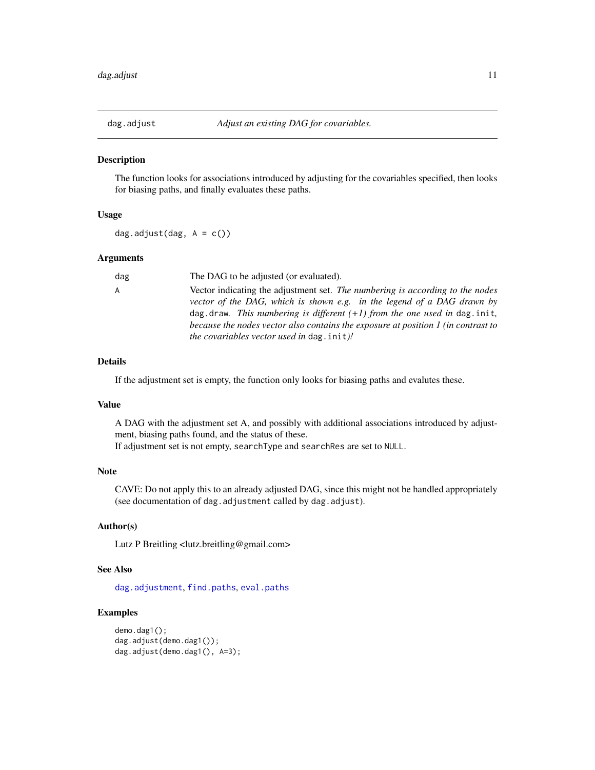<span id="page-10-1"></span><span id="page-10-0"></span>

The function looks for associations introduced by adjusting for the covariables specified, then looks for biasing paths, and finally evaluates these paths.

# Usage

dag.adjust(dag,  $A = c()$ )

#### Arguments

| dag | The DAG to be adjusted (or evaluated).                                            |
|-----|-----------------------------------------------------------------------------------|
| A   | Vector indicating the adjustment set. The numbering is according to the nodes     |
|     | vector of the DAG, which is shown e.g. in the legend of a DAG drawn by            |
|     | dag. draw. This numbering is different $(+1)$ from the one used in dag. init,     |
|     | because the nodes vector also contains the exposure at position 1 (in contrast to |
|     | <i>the covariables vector used in dag. init)!</i>                                 |

#### Details

If the adjustment set is empty, the function only looks for biasing paths and evalutes these.

#### Value

A DAG with the adjustment set A, and possibly with additional associations introduced by adjustment, biasing paths found, and the status of these.

If adjustment set is not empty, searchType and searchRes are set to NULL.

# Note

CAVE: Do not apply this to an already adjusted DAG, since this might not be handled appropriately (see documentation of dag.adjustment called by dag.adjust).

#### Author(s)

Lutz P Breitling <lutz.breitling@gmail.com>

# See Also

[dag.adjustment](#page-11-1), [find.paths](#page-29-1), [eval.paths](#page-27-1)

```
demo.dag1();
dag.adjust(demo.dag1());
dag.adjust(demo.dag1(), A=3);
```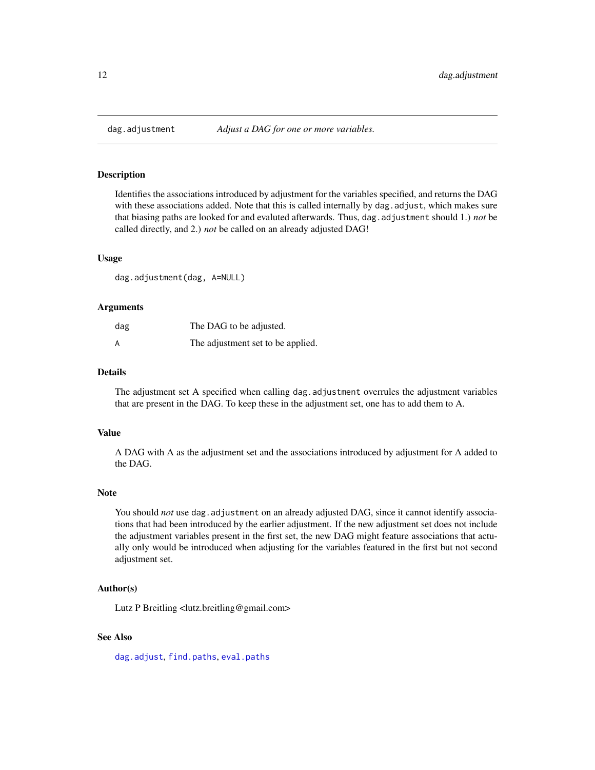<span id="page-11-1"></span><span id="page-11-0"></span>

Identifies the associations introduced by adjustment for the variables specified, and returns the DAG with these associations added. Note that this is called internally by dag, adjust, which makes sure that biasing paths are looked for and evaluted afterwards. Thus, dag.adjustment should 1.) *not* be called directly, and 2.) *not* be called on an already adjusted DAG!

#### Usage

dag.adjustment(dag, A=NULL)

#### **Arguments**

| dag | The DAG to be adjusted.           |
|-----|-----------------------------------|
| A   | The adjustment set to be applied. |

#### Details

The adjustment set A specified when calling dag.adjustment overrules the adjustment variables that are present in the DAG. To keep these in the adjustment set, one has to add them to A.

#### Value

A DAG with A as the adjustment set and the associations introduced by adjustment for A added to the DAG.

#### Note

You should *not* use dag. adjustment on an already adjusted DAG, since it cannot identify associations that had been introduced by the earlier adjustment. If the new adjustment set does not include the adjustment variables present in the first set, the new DAG might feature associations that actually only would be introduced when adjusting for the variables featured in the first but not second adjustment set.

#### Author(s)

Lutz P Breitling <lutz.breitling@gmail.com>

# See Also

[dag.adjust](#page-10-1), [find.paths](#page-29-1), [eval.paths](#page-27-1)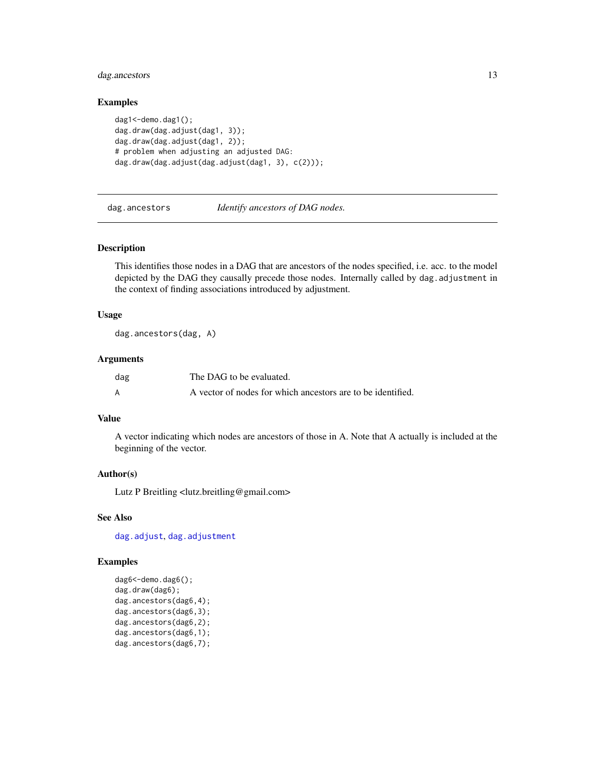# <span id="page-12-0"></span>dag.ancestors 13

#### Examples

```
dag1<-demo.dag1();
dag.draw(dag.adjust(dag1, 3));
dag.draw(dag.adjust(dag1, 2));
# problem when adjusting an adjusted DAG:
dag.draw(dag.adjust(dag.adjust(dag1, 3), c(2)));
```
dag.ancestors *Identify ancestors of DAG nodes.*

# Description

This identifies those nodes in a DAG that are ancestors of the nodes specified, i.e. acc. to the model depicted by the DAG they causally precede those nodes. Internally called by dag.adjustment in the context of finding associations introduced by adjustment.

#### Usage

dag.ancestors(dag, A)

#### Arguments

| dag | The DAG to be evaluated.                                    |
|-----|-------------------------------------------------------------|
|     | A vector of nodes for which ancestors are to be identified. |

# Value

A vector indicating which nodes are ancestors of those in A. Note that A actually is included at the beginning of the vector.

#### Author(s)

Lutz P Breitling <lutz.breitling@gmail.com>

# See Also

[dag.adjust](#page-10-1), [dag.adjustment](#page-11-1)

```
dag6<-demo.dag6();
dag.draw(dag6);
dag.ancestors(dag6,4);
dag.ancestors(dag6,3);
dag.ancestors(dag6,2);
dag.ancestors(dag6,1);
dag.ancestors(dag6,7);
```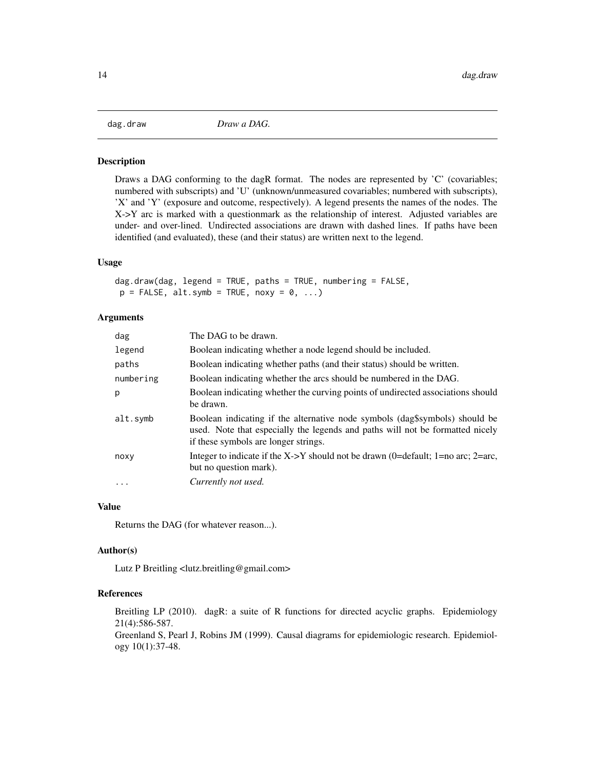<span id="page-13-1"></span><span id="page-13-0"></span>

Draws a DAG conforming to the dagR format. The nodes are represented by 'C' (covariables; numbered with subscripts) and 'U' (unknown/unmeasured covariables; numbered with subscripts), 'X' and 'Y' (exposure and outcome, respectively). A legend presents the names of the nodes. The X->Y arc is marked with a questionmark as the relationship of interest. Adjusted variables are under- and over-lined. Undirected associations are drawn with dashed lines. If paths have been identified (and evaluated), these (and their status) are written next to the legend.

#### Usage

```
dag.draw(dag, legend = TRUE, paths = TRUE, numbering = FALSE,
p = FALSE, alt.symb = TRUE, noxy = 0, ...)
```
#### Arguments

| The DAG to be drawn.                                                                                                                                                                                 |
|------------------------------------------------------------------------------------------------------------------------------------------------------------------------------------------------------|
| Boolean indicating whether a node legend should be included.                                                                                                                                         |
| Boolean indicating whether paths (and their status) should be written.                                                                                                                               |
| Boolean indicating whether the arcs should be numbered in the DAG.                                                                                                                                   |
| Boolean indicating whether the curving points of undirected associations should<br>be drawn.                                                                                                         |
| Boolean indicating if the alternative node symbols (dag\$symbols) should be<br>used. Note that especially the legends and paths will not be formatted nicely<br>if these symbols are longer strings. |
| Integer to indicate if the X->Y should not be drawn (0=default; 1=no arc; 2=arc,<br>but no question mark).                                                                                           |
| Currently not used.                                                                                                                                                                                  |
|                                                                                                                                                                                                      |

#### Value

Returns the DAG (for whatever reason...).

#### Author(s)

Lutz P Breitling <lutz.breitling@gmail.com>

# References

Breitling LP (2010). dagR: a suite of R functions for directed acyclic graphs. Epidemiology 21(4):586-587.

Greenland S, Pearl J, Robins JM (1999). Causal diagrams for epidemiologic research. Epidemiology 10(1):37-48.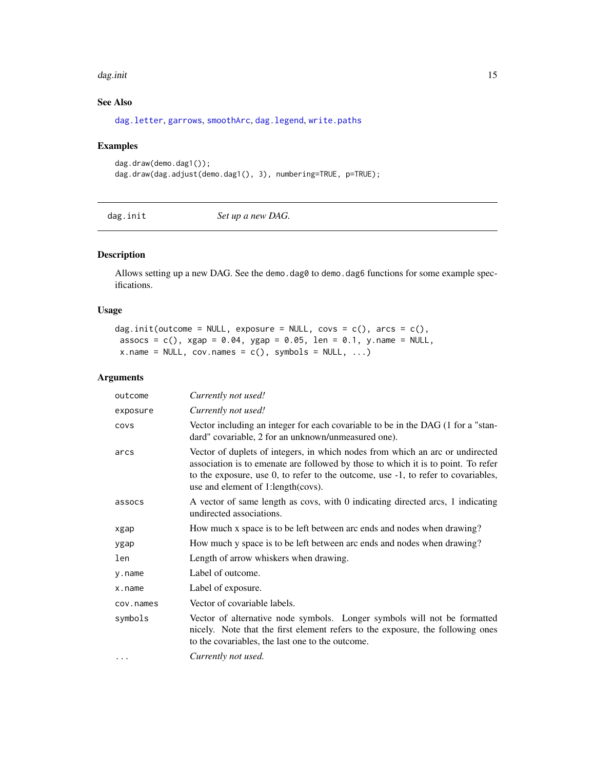#### <span id="page-14-0"></span>dag.init 15

# See Also

[dag.letter](#page-16-1), [garrows](#page-30-1), [smoothArc](#page-37-1), [dag.legend](#page-16-2), [write.paths](#page-40-1)

# Examples

```
dag.draw(demo.dag1());
dag.draw(dag.adjust(demo.dag1(), 3), numbering=TRUE, p=TRUE);
```
<span id="page-14-1"></span>dag.init *Set up a new DAG.*

# Description

Allows setting up a new DAG. See the demo.dag0 to demo.dag6 functions for some example specifications.

# Usage

dag.init(outcome = NULL, exposure = NULL, covs =  $c()$ , arcs =  $c()$ , assocs =  $c()$ , xgap = 0.04, ygap = 0.05, len = 0.1, y.name = NULL,  $x.name = NULL, cov.name = c(), symbols = NULL, ...)$ 

# Arguments

| outcome   | Currently not used!                                                                                                                                                                                                                                                                            |  |
|-----------|------------------------------------------------------------------------------------------------------------------------------------------------------------------------------------------------------------------------------------------------------------------------------------------------|--|
| exposure  | Currently not used!                                                                                                                                                                                                                                                                            |  |
| COVS      | Vector including an integer for each covariable to be in the DAG (1 for a "stan-<br>dard" covariable, 2 for an unknown/unmeasured one).                                                                                                                                                        |  |
| arcs      | Vector of duplets of integers, in which nodes from which an arc or undirected<br>association is to emenate are followed by those to which it is to point. To refer<br>to the exposure, use 0, to refer to the outcome, use -1, to refer to covariables,<br>use and element of 1:length (covs). |  |
| assocs    | A vector of same length as covs, with 0 indicating directed arcs, 1 indicating<br>undirected associations.                                                                                                                                                                                     |  |
| xgap      | How much x space is to be left between arc ends and nodes when drawing?                                                                                                                                                                                                                        |  |
| ygap      | How much y space is to be left between arc ends and nodes when drawing?                                                                                                                                                                                                                        |  |
| len       | Length of arrow whiskers when drawing.                                                                                                                                                                                                                                                         |  |
| y.name    | Label of outcome.                                                                                                                                                                                                                                                                              |  |
| x.name    | Label of exposure.                                                                                                                                                                                                                                                                             |  |
| cov.names | Vector of covariable labels.                                                                                                                                                                                                                                                                   |  |
| symbols   | Vector of alternative node symbols. Longer symbols will not be formatted<br>nicely. Note that the first element refers to the exposure, the following ones<br>to the covariables, the last one to the outcome.                                                                                 |  |
| $\cdots$  | Currently not used.                                                                                                                                                                                                                                                                            |  |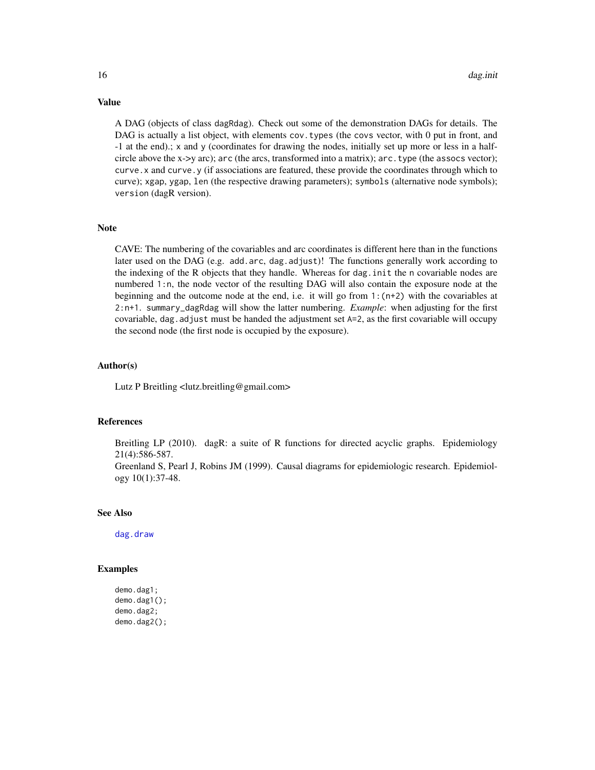A DAG (objects of class dagRdag). Check out some of the demonstration DAGs for details. The DAG is actually a list object, with elements cov. types (the covs vector, with 0 put in front, and -1 at the end).; x and y (coordinates for drawing the nodes, initially set up more or less in a halfcircle above the x->y arc); arc (the arcs, transformed into a matrix); arc.type (the assocs vector); curve.x and curve.y (if associations are featured, these provide the coordinates through which to curve); xgap, ygap, len (the respective drawing parameters); symbols (alternative node symbols); version (dagR version).

#### Note

CAVE: The numbering of the covariables and arc coordinates is different here than in the functions later used on the DAG (e.g. add.arc, dag.adjust)! The functions generally work according to the indexing of the R objects that they handle. Whereas for dag.init the n covariable nodes are numbered 1:n, the node vector of the resulting DAG will also contain the exposure node at the beginning and the outcome node at the end, i.e. it will go from  $1:$   $(n+2)$  with the covariables at 2:n+1. summary\_dagRdag will show the latter numbering. *Example*: when adjusting for the first covariable, dag.adjust must be handed the adjustment set A=2, as the first covariable will occupy the second node (the first node is occupied by the exposure).

#### Author(s)

Lutz P Breitling <lutz.breitling@gmail.com>

# References

Breitling LP (2010). dagR: a suite of R functions for directed acyclic graphs. Epidemiology 21(4):586-587.

Greenland S, Pearl J, Robins JM (1999). Causal diagrams for epidemiologic research. Epidemiology 10(1):37-48.

#### See Also

[dag.draw](#page-13-1)

#### Examples

```
demo.dag1;
demo.dag1();
demo.dag2;
demo.dag2();
```
<span id="page-15-0"></span>

# Value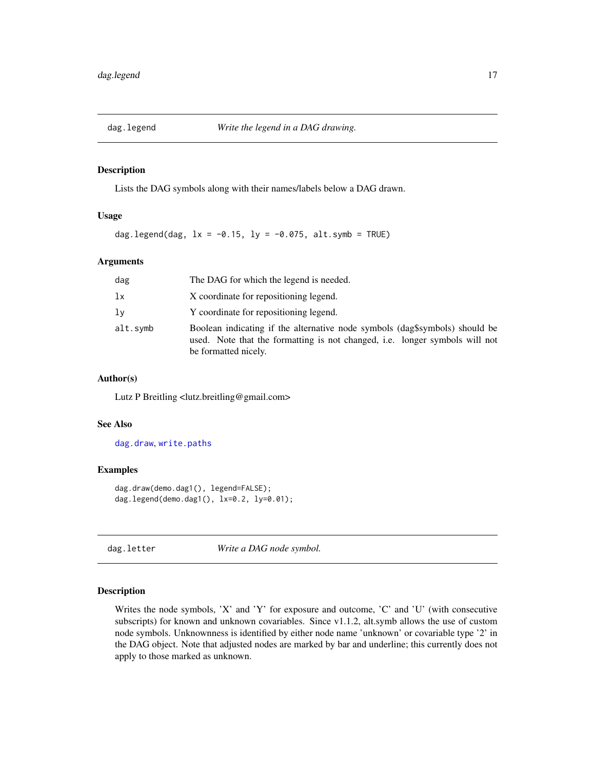<span id="page-16-2"></span><span id="page-16-0"></span>

Lists the DAG symbols along with their names/labels below a DAG drawn.

#### Usage

dag.legend(dag,  $lx = -0.15$ ,  $ly = -0.075$ , alt.symb = TRUE)

# Arguments

| dag      | The DAG for which the legend is needed.                                                                                                                                            |  |
|----------|------------------------------------------------------------------------------------------------------------------------------------------------------------------------------------|--|
| lx       | X coordinate for repositioning legend.                                                                                                                                             |  |
| lν       | Y coordinate for repositioning legend.                                                                                                                                             |  |
| alt.symb | Boolean indicating if the alternative node symbols (dag\$symbols) should be<br>used. Note that the formatting is not changed, i.e. longer symbols will not<br>be formatted nicely. |  |

# Author(s)

Lutz P Breitling <lutz.breitling@gmail.com>

#### See Also

[dag.draw](#page-13-1), [write.paths](#page-40-1)

# Examples

dag.draw(demo.dag1(), legend=FALSE); dag.legend(demo.dag1(), lx=0.2, ly=0.01);

<span id="page-16-1"></span>dag.letter *Write a DAG node symbol.*

#### Description

Writes the node symbols, 'X' and 'Y' for exposure and outcome, 'C' and 'U' (with consecutive subscripts) for known and unknown covariables. Since v1.1.2, alt.symb allows the use of custom node symbols. Unknownness is identified by either node name 'unknown' or covariable type '2' in the DAG object. Note that adjusted nodes are marked by bar and underline; this currently does not apply to those marked as unknown.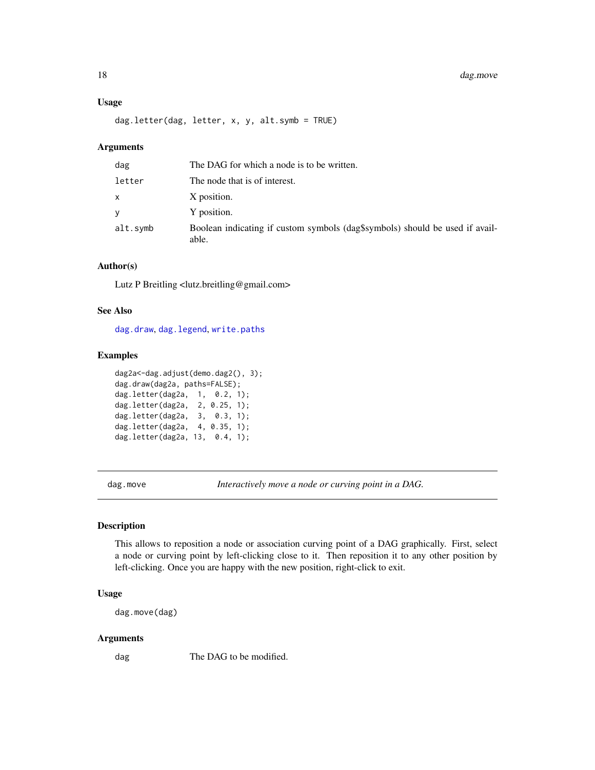#### <span id="page-17-0"></span>18 dag.move

# Usage

dag.letter(dag, letter, x, y, alt.symb = TRUE)

#### Arguments

| dag      | The DAG for which a node is to be written.                                            |  |
|----------|---------------------------------------------------------------------------------------|--|
| letter   | The node that is of interest.                                                         |  |
| x        | X position.                                                                           |  |
| V        | Y position.                                                                           |  |
| alt.symb | Boolean indicating if custom symbols (dag\$symbols) should be used if avail-<br>able. |  |

#### Author(s)

Lutz P Breitling <lutz.breitling@gmail.com>

#### See Also

[dag.draw](#page-13-1), [dag.legend](#page-16-2), [write.paths](#page-40-1)

# Examples

```
dag2a<-dag.adjust(demo.dag2(), 3);
dag.draw(dag2a, paths=FALSE);
dag.letter(dag2a, 1, 0.2, 1);
dag.letter(dag2a, 2, 0.25, 1);
dag.letter(dag2a, 3, 0.3, 1);
dag.letter(dag2a, 4, 0.35, 1);
dag.letter(dag2a, 13, 0.4, 1);
```
<span id="page-17-1"></span>dag.move *Interactively move a node or curving point in a DAG.*

# Description

This allows to reposition a node or association curving point of a DAG graphically. First, select a node or curving point by left-clicking close to it. Then reposition it to any other position by left-clicking. Once you are happy with the new position, right-click to exit.

# Usage

```
dag.move(dag)
```
#### Arguments

dag The DAG to be modified.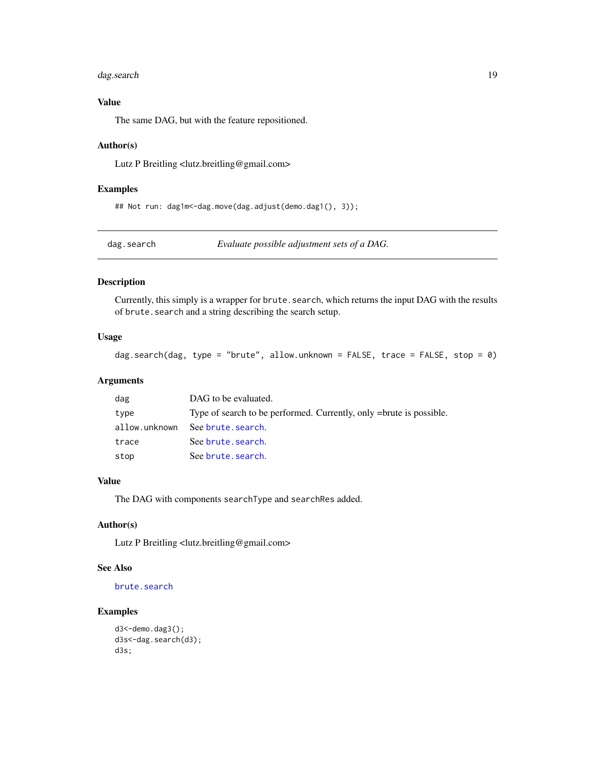# <span id="page-18-0"></span>dag.search 19

# Value

The same DAG, but with the feature repositioned.

#### Author(s)

Lutz P Breitling <lutz.breitling@gmail.com>

#### Examples

## Not run: dag1m<-dag.move(dag.adjust(demo.dag1(), 3));

<span id="page-18-1"></span>dag.search *Evaluate possible adjustment sets of a DAG.*

#### Description

Currently, this simply is a wrapper for brute. search, which returns the input DAG with the results of brute. search and a string describing the search setup.

# Usage

dag.search(dag, type = "brute", allow.unknown = FALSE, trace = FALSE, stop = 0)

#### Arguments

| dag           | DAG to be evaluated.                                                |
|---------------|---------------------------------------------------------------------|
| type          | Type of search to be performed. Currently, only =brute is possible. |
| allow.unknown | See brute, search.                                                  |
| trace         | See brute. search.                                                  |
| stop          | See brute, search.                                                  |

# Value

The DAG with components searchType and searchRes added.

# Author(s)

Lutz P Breitling <lutz.breitling@gmail.com>

# See Also

[brute.search](#page-9-1)

```
d3<-demo.dag3();
d3s<-dag.search(d3);
d3s;
```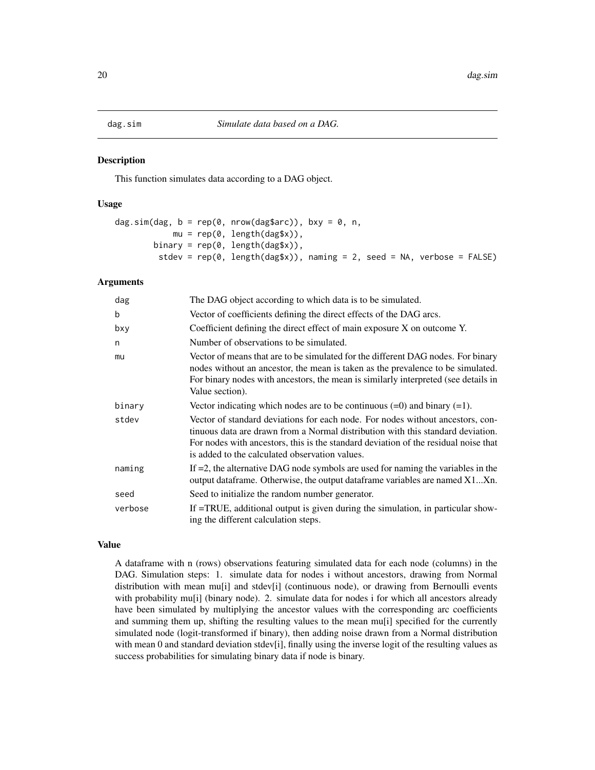<span id="page-19-1"></span><span id="page-19-0"></span>

This function simulates data according to a DAG object.

#### Usage

```
dag.sim(dag, b = rep(0, nrow(dag$arc)), bxy = 0, n,mu = rep(0, length(dag$x)),
       binary = rep(0, length(dag$x)),
        stdev = rep(0, length(dag$x)), naming = 2, seed = NA, verbose = FALSE)
```
#### Arguments

| dag     | The DAG object according to which data is to be simulated.                                                                                                                                                                                                                                                 |
|---------|------------------------------------------------------------------------------------------------------------------------------------------------------------------------------------------------------------------------------------------------------------------------------------------------------------|
| b       | Vector of coefficients defining the direct effects of the DAG arcs.                                                                                                                                                                                                                                        |
| bxy     | Coefficient defining the direct effect of main exposure X on outcome Y.                                                                                                                                                                                                                                    |
| n       | Number of observations to be simulated.                                                                                                                                                                                                                                                                    |
| mu      | Vector of means that are to be simulated for the different DAG nodes. For binary<br>nodes without an ancestor, the mean is taken as the prevalence to be simulated.<br>For binary nodes with ancestors, the mean is similarly interpreted (see details in<br>Value section).                               |
| binary  | Vector indicating which nodes are to be continuous $(=0)$ and binary $(=1)$ .                                                                                                                                                                                                                              |
| stdev   | Vector of standard deviations for each node. For nodes without ancestors, con-<br>tinuous data are drawn from a Normal distribution with this standard deviation.<br>For nodes with ancestors, this is the standard deviation of the residual noise that<br>is added to the calculated observation values. |
| naming  | If $=$ 2, the alternative DAG node symbols are used for naming the variables in the<br>output dataframe. Otherwise, the output dataframe variables are named X1Xn.                                                                                                                                         |
| seed    | Seed to initialize the random number generator.                                                                                                                                                                                                                                                            |
| verbose | If =TRUE, additional output is given during the simulation, in particular show-<br>ing the different calculation steps.                                                                                                                                                                                    |

# Value

A dataframe with n (rows) observations featuring simulated data for each node (columns) in the DAG. Simulation steps: 1. simulate data for nodes i without ancestors, drawing from Normal distribution with mean mu[i] and stdev[i] (continuous node), or drawing from Bernoulli events with probability mu[i] (binary node). 2. simulate data for nodes i for which all ancestors already have been simulated by multiplying the ancestor values with the corresponding arc coefficients and summing them up, shifting the resulting values to the mean mu[i] specified for the currently simulated node (logit-transformed if binary), then adding noise drawn from a Normal distribution with mean 0 and standard deviation stdev[i], finally using the inverse logit of the resulting values as success probabilities for simulating binary data if node is binary.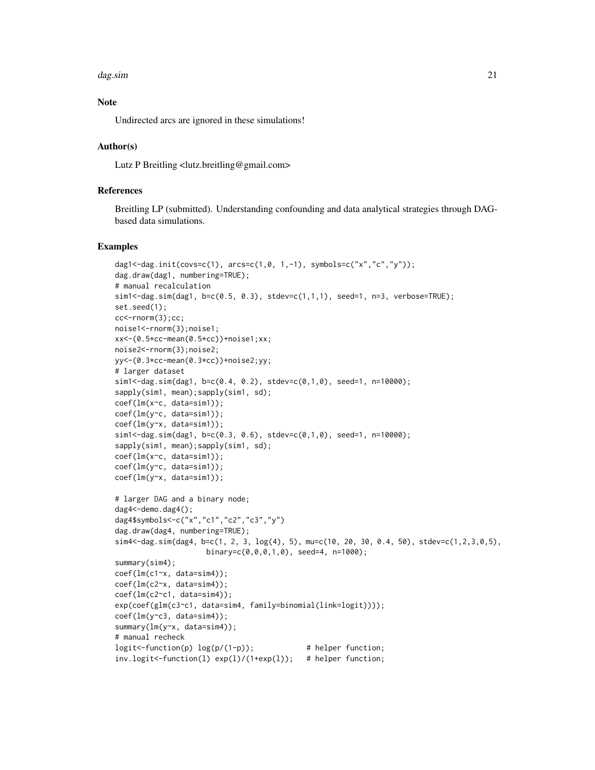#### dag.sim 21

# Note

Undirected arcs are ignored in these simulations!

#### Author(s)

Lutz P Breitling <lutz.breitling@gmail.com>

#### References

Breitling LP (submitted). Understanding confounding and data analytical strategies through DAGbased data simulations.

```
dag1<-dag.init(covs=c(1), arcs=c(1,0, 1,-1), symbols=c("x","c","y"));
dag.draw(dag1, numbering=TRUE);
# manual recalculation
sim1<-dag.sim(dag1, b=c(0.5, 0.3), stdev=c(1,1,1), seed=1, n=3, verbose=TRUE);
set.seed(1);
cc<-rnorm(3);cc;
noise1<-rnorm(3);noise1;
xx<-(0.5*cc-mean(0.5*cc))+noise1;xx;
noise2<-rnorm(3);noise2;
yy<-(0.3*cc-mean(0.3*cc))+noise2;yy;
# larger dataset
sim1 < -dag.sim(dag1, b=c(0.4, 0.2), stdev=c(0,1,0), seed=1, n=10000);
sapply(sim1, mean);sapply(sim1, sd);
coef(lm(x~c, data=sim1));
coef(lm(y~c, data=sim1));
coef(lm(y~x, data=sim1));
sim1<-dag.sim(dag1, b=c(0.3, 0.6), stdev=c(0,1,0), seed=1, n=10000);
sapply(sim1, mean);sapply(sim1, sd);
coef(lm(x~c, data=sim1));
coef(lm(y~c, data=sim1));
coef(lm(y~x, data=sim1));
# larger DAG and a binary node;
dag4<-demo.dag4();
dag4$symbols<-c("x","c1","c2","c3","y")
dag.draw(dag4, numbering=TRUE);
\sin 4 < -\frac{\text{day}}{\text{day}}, \frac{\text{day}}{\text{day}}, \frac{\text{day}}{\text{day}}, \frac{2}{3}, \frac{1}{\text{day}}, \frac{5}{3}, \frac{5}{3}, \frac{5}{3}, \frac{5}{3}, \frac{5}{3}, \frac{5}{3}, \frac{5}{3}, \frac{5}{3}, \frac{5}{3}, \frac{5}{3}, \frac{5}{3}, \frac{5}{3}, \frac{5}{3}, \frac{5}{3}, \frac{5}{3}, \frac{5}{3}, \frac{5}{3}, \frac{5}{3}, \frac{5}{3}, \frac{5}{3}, \frac{5}{3}, \frac{5}{3}, \frac{5}{binary=c(0,0,0,1,0), seed=4, n=1000);
summary(sim4);
coef(lm(c1~x, data=sim4));
coef(lm(c2~x, data=sim4));
coef(lm(c2~c1, data=sim4));
exp(coef(glm(c3~c1, data=sim4, family=binomial(link=logit))));
coef(lm(y~c3, data=sim4));
summary(lm(y~x, data=sim4));
# manual recheck
logit<-function(p) log(p/(1-p)); # helper function;
inv.logit<-function(l) exp(l)/(1+exp(l)); # helper function;
```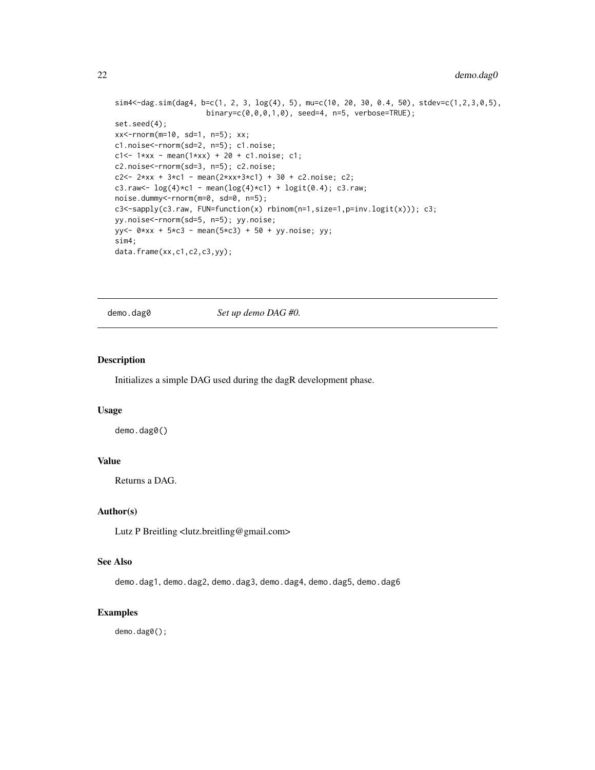```
sim4<-dag.sim(dag4, b=c(1, 2, 3, log(4), 5), mu=c(10, 20, 30, 0.4, 50), stdev=c(1,2,3,0,5),
                     binary=c(0,0,0,1,0), seed=4, n=5, verbose=TRUE);
set.seed(4);
xx<-rnorm(m=10, sd=1, n=5); xx;
c1.noise<-rnorm(sd=2, n=5); c1.noise;
c1 < -1*xx - mean(1*xx) + 20 + c1.noise; c1;
c2.noise<-rnorm(sd=3, n=5); c2.noise;
c2 <- 2*xx + 3*c1 - mean(2*xx+3*c1) + 30 + c2.noise; c2;
c3.raw <- \log(4) * c1 - mean(\log(4) * c1) + \logit(0.4); c3.raw;
noise.dummy<-rnorm(m=0, sd=0, n=5);
c3<-sapply(c3.raw, FUN=function(x) rbinom(n=1,size=1,p=inv.logit(x))); c3;
yy.noise<-rnorm(sd=5, n=5); yy.noise;
yy<- 0*xx + 5*c3 - mean(5*c3) + 50 + yy.noise; yy;
sim4;
data.frame(xx,c1,c2,c3,yy);
```
demo.dag0 *Set up demo DAG #0.*

# Description

Initializes a simple DAG used during the dagR development phase.

#### Usage

demo.dag0()

# Value

Returns a DAG.

#### Author(s)

Lutz P Breitling <lutz.breitling@gmail.com>

# See Also

demo.dag1, demo.dag2, demo.dag3, demo.dag4, demo.dag5, demo.dag6

#### Examples

demo.dag0();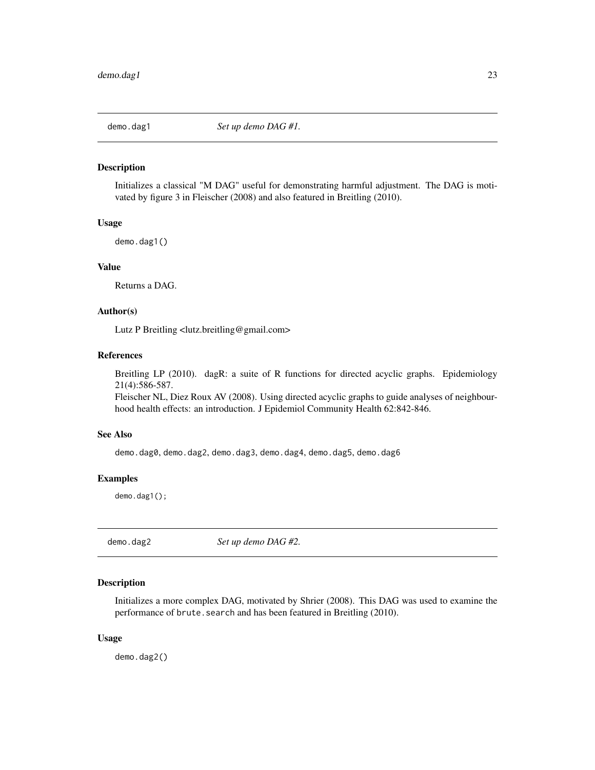<span id="page-22-0"></span>

Initializes a classical "M DAG" useful for demonstrating harmful adjustment. The DAG is motivated by figure 3 in Fleischer (2008) and also featured in Breitling (2010).

#### Usage

demo.dag1()

# Value

Returns a DAG.

# Author(s)

Lutz P Breitling <lutz.breitling@gmail.com>

# References

Breitling LP (2010). dagR: a suite of R functions for directed acyclic graphs. Epidemiology 21(4):586-587.

Fleischer NL, Diez Roux AV (2008). Using directed acyclic graphs to guide analyses of neighbourhood health effects: an introduction. J Epidemiol Community Health 62:842-846.

#### See Also

demo.dag0, demo.dag2, demo.dag3, demo.dag4, demo.dag5, demo.dag6

# Examples

demo.dag1();

demo.dag2 *Set up demo DAG #2.*

# Description

Initializes a more complex DAG, motivated by Shrier (2008). This DAG was used to examine the performance of brute. search and has been featured in Breitling (2010).

#### Usage

demo.dag2()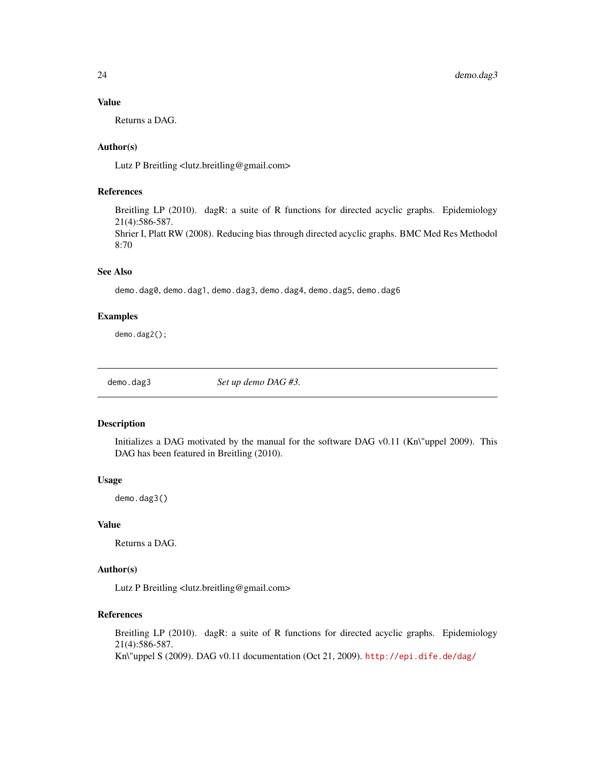#### Value

Returns a DAG.

# Author(s)

Lutz P Breitling <lutz.breitling@gmail.com>

# References

Breitling LP (2010). dagR: a suite of R functions for directed acyclic graphs. Epidemiology 21(4):586-587.

Shrier I, Platt RW (2008). Reducing bias through directed acyclic graphs. BMC Med Res Methodol 8:70

# See Also

demo.dag0, demo.dag1, demo.dag3, demo.dag4, demo.dag5, demo.dag6

# Examples

demo.dag2();

demo.dag3 *Set up demo DAG #3.*

# Description

Initializes a DAG motivated by the manual for the software DAG v0.11 (Kn\"uppel 2009). This DAG has been featured in Breitling (2010).

# Usage

demo.dag3()

# Value

Returns a DAG.

# Author(s)

Lutz P Breitling <lutz.breitling@gmail.com>

# References

Breitling LP (2010). dagR: a suite of R functions for directed acyclic graphs. Epidemiology 21(4):586-587. Kn\"uppel S (2009). DAG v0.11 documentation (Oct 21, 2009). <http://epi.dife.de/dag/>

<span id="page-23-0"></span>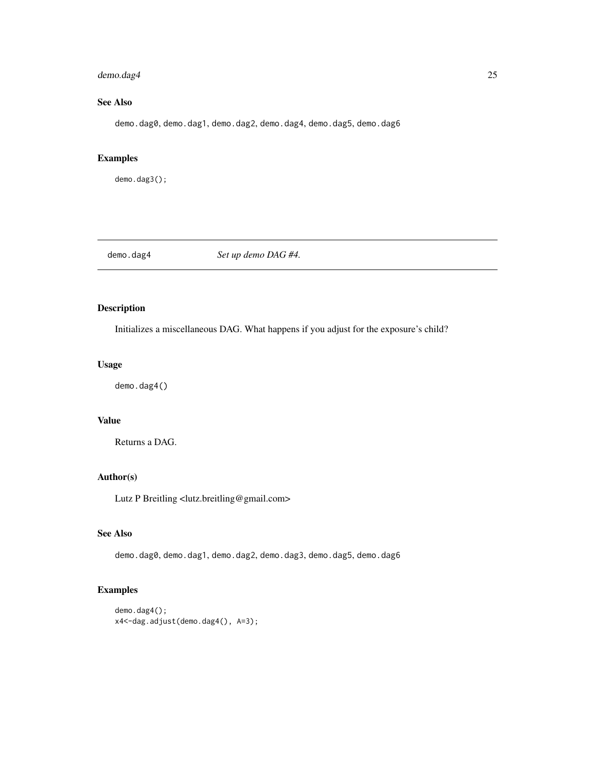# <span id="page-24-0"></span>demo.dag4 25

# See Also

demo.dag0, demo.dag1, demo.dag2, demo.dag4, demo.dag5, demo.dag6

# Examples

demo.dag3();

demo.dag4 *Set up demo DAG #4.*

# Description

Initializes a miscellaneous DAG. What happens if you adjust for the exposure's child?

# Usage

demo.dag4()

# Value

Returns a DAG.

# Author(s)

Lutz P Breitling <lutz.breitling@gmail.com>

# See Also

demo.dag0, demo.dag1, demo.dag2, demo.dag3, demo.dag5, demo.dag6

```
demo.dag4();
x4<-dag.adjust(demo.dag4(), A=3);
```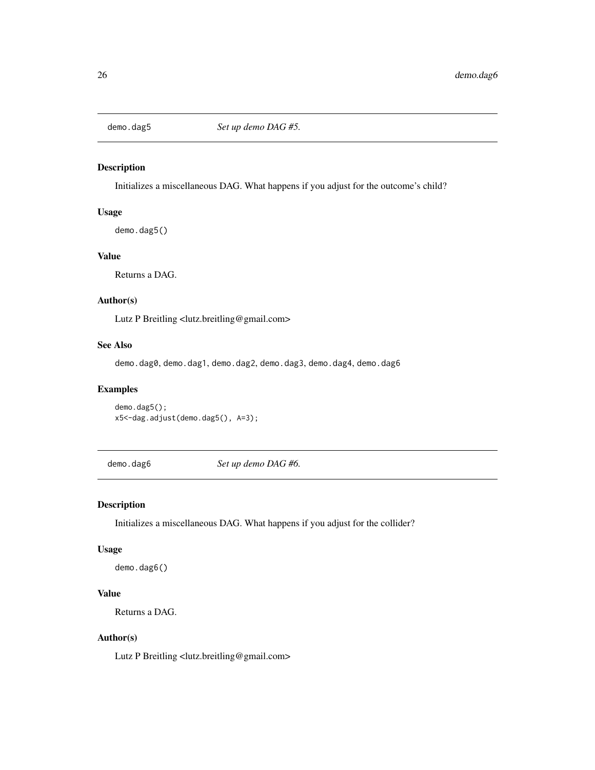<span id="page-25-0"></span>

Initializes a miscellaneous DAG. What happens if you adjust for the outcome's child?

# Usage

demo.dag5()

# Value

Returns a DAG.

# Author(s)

Lutz P Breitling <lutz.breitling@gmail.com>

# See Also

demo.dag0, demo.dag1, demo.dag2, demo.dag3, demo.dag4, demo.dag6

# Examples

demo.dag5(); x5<-dag.adjust(demo.dag5(), A=3);

demo.dag6 *Set up demo DAG #6.*

#### Description

Initializes a miscellaneous DAG. What happens if you adjust for the collider?

#### Usage

demo.dag6()

# Value

Returns a DAG.

#### Author(s)

Lutz P Breitling <lutz.breitling@gmail.com>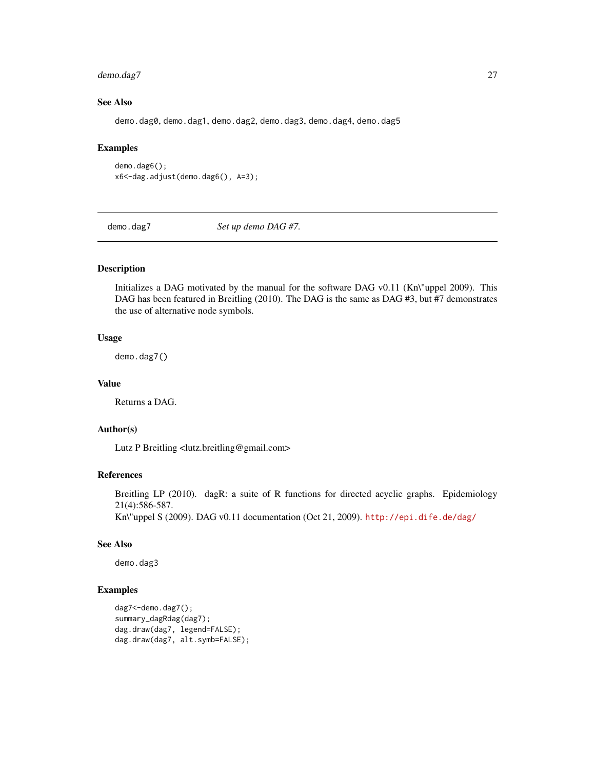# <span id="page-26-0"></span>demo.dag7 27

# See Also

demo.dag0, demo.dag1, demo.dag2, demo.dag3, demo.dag4, demo.dag5

#### Examples

```
demo.dag6();
x6<-dag.adjust(demo.dag6(), A=3);
```
demo.dag7 *Set up demo DAG #7.*

#### Description

Initializes a DAG motivated by the manual for the software DAG v0.11 (Kn\"uppel 2009). This DAG has been featured in Breitling (2010). The DAG is the same as DAG #3, but #7 demonstrates the use of alternative node symbols.

#### Usage

demo.dag7()

# Value

Returns a DAG.

# Author(s)

Lutz P Breitling <lutz.breitling@gmail.com>

# References

Breitling LP (2010). dagR: a suite of R functions for directed acyclic graphs. Epidemiology 21(4):586-587.

Kn\"uppel S (2009). DAG v0.11 documentation (Oct 21, 2009). <http://epi.dife.de/dag/>

# See Also

demo.dag3

```
dag7<-demo.dag7();
summary_dagRdag(dag7);
dag.draw(dag7, legend=FALSE);
dag.draw(dag7, alt.symb=FALSE);
```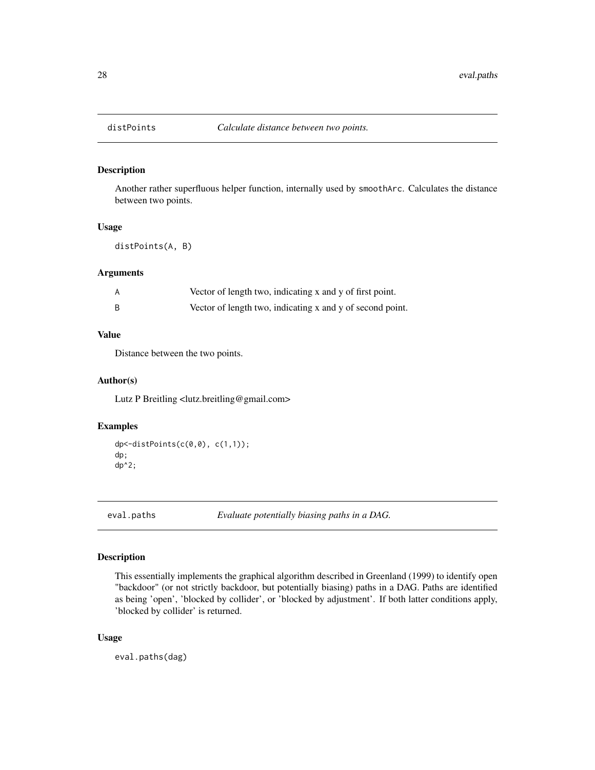<span id="page-27-0"></span>

Another rather superfluous helper function, internally used by smoothArc. Calculates the distance between two points.

#### Usage

distPoints(A, B)

#### Arguments

| Vector of length two, indicating x and y of first point.  |
|-----------------------------------------------------------|
| Vector of length two, indicating x and y of second point. |

# Value

Distance between the two points.

#### Author(s)

Lutz P Breitling <lutz.breitling@gmail.com>

#### Examples

```
dp<-distPoints(c(0,0), c(1,1));
dp;
dp^2;
```
<span id="page-27-1"></span>eval.paths *Evaluate potentially biasing paths in a DAG.*

# Description

This essentially implements the graphical algorithm described in Greenland (1999) to identify open "backdoor" (or not strictly backdoor, but potentially biasing) paths in a DAG. Paths are identified as being 'open', 'blocked by collider', or 'blocked by adjustment'. If both latter conditions apply, 'blocked by collider' is returned.

#### Usage

eval.paths(dag)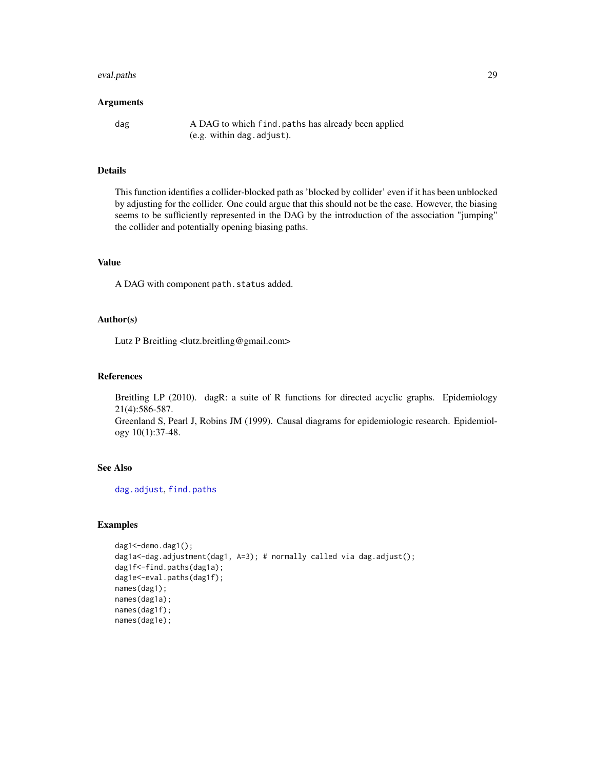#### <span id="page-28-0"></span>eval.paths 29

#### Arguments

dag A DAG to which find.paths has already been applied (e.g. within dag.adjust).

# Details

This function identifies a collider-blocked path as 'blocked by collider' even if it has been unblocked by adjusting for the collider. One could argue that this should not be the case. However, the biasing seems to be sufficiently represented in the DAG by the introduction of the association "jumping" the collider and potentially opening biasing paths.

# Value

A DAG with component path.status added.

#### Author(s)

Lutz P Breitling <lutz.breitling@gmail.com>

### References

Breitling LP (2010). dagR: a suite of R functions for directed acyclic graphs. Epidemiology 21(4):586-587. Greenland S, Pearl J, Robins JM (1999). Causal diagrams for epidemiologic research. Epidemiol-

#### See Also

[dag.adjust](#page-10-1), [find.paths](#page-29-1)

ogy 10(1):37-48.

```
dag1<-demo.dag1();
dag1a<-dag.adjustment(dag1, A=3); # normally called via dag.adjust();
dag1f<-find.paths(dag1a);
dag1e<-eval.paths(dag1f);
names(dag1);
names(dag1a);
names(dag1f);
names(dag1e);
```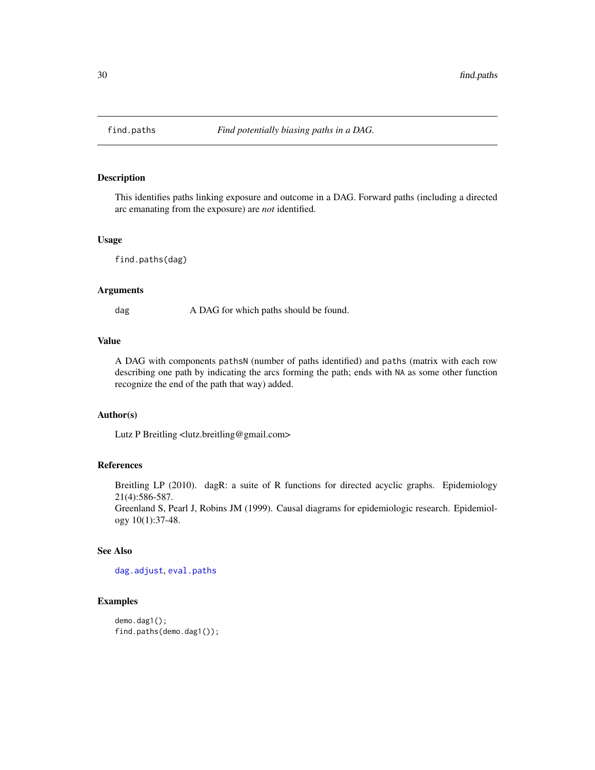<span id="page-29-1"></span><span id="page-29-0"></span>

This identifies paths linking exposure and outcome in a DAG. Forward paths (including a directed arc emanating from the exposure) are *not* identified.

#### Usage

find.paths(dag)

#### Arguments

dag A DAG for which paths should be found.

#### Value

A DAG with components pathsN (number of paths identified) and paths (matrix with each row describing one path by indicating the arcs forming the path; ends with NA as some other function recognize the end of the path that way) added.

#### Author(s)

Lutz P Breitling <lutz.breitling@gmail.com>

# References

Breitling LP (2010). dagR: a suite of R functions for directed acyclic graphs. Epidemiology 21(4):586-587.

Greenland S, Pearl J, Robins JM (1999). Causal diagrams for epidemiologic research. Epidemiology 10(1):37-48.

# See Also

[dag.adjust](#page-10-1), [eval.paths](#page-27-1)

```
demo.dag1();
find.paths(demo.dag1());
```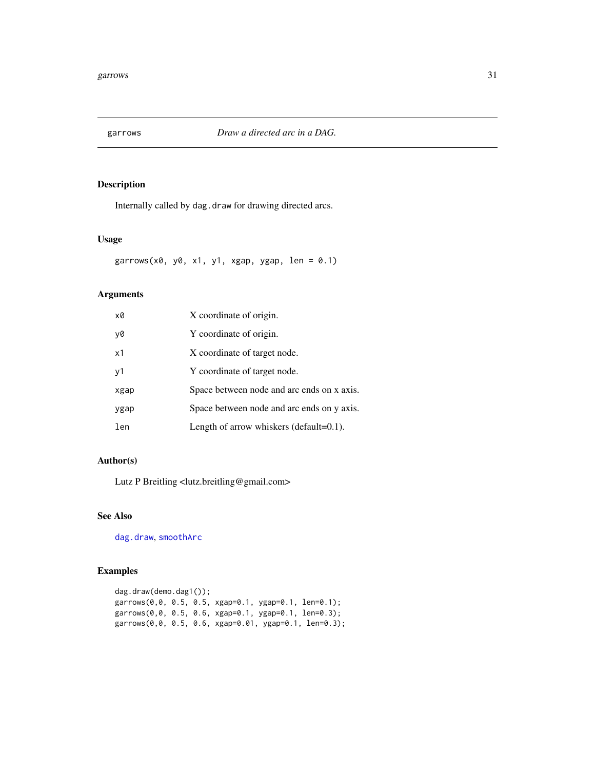<span id="page-30-1"></span><span id="page-30-0"></span>

Internally called by dag.draw for drawing directed arcs.

# Usage

garrows(x0, y0, x1, y1, xgap, ygap, len =  $0.1$ )

# Arguments

| x0   | X coordinate of origin.                     |
|------|---------------------------------------------|
| y0   | Y coordinate of origin.                     |
| x1   | X coordinate of target node.                |
| v1   | Y coordinate of target node.                |
| xgap | Space between node and arc ends on x axis.  |
| ygap | Space between node and arc ends on y axis.  |
| len  | Length of arrow whiskers (default= $0.1$ ). |

# Author(s)

Lutz P Breitling <lutz.breitling@gmail.com>

#### See Also

[dag.draw](#page-13-1), [smoothArc](#page-37-1)

```
dag.draw(demo.dag1());
garrows(0,0, 0.5, 0.5, xgap=0.1, ygap=0.1, len=0.1);
garrows(0,0, 0.5, 0.6, xgap=0.1, ygap=0.1, len=0.3);
garrows(0,0, 0.5, 0.6, xgap=0.01, ygap=0.1, len=0.3);
```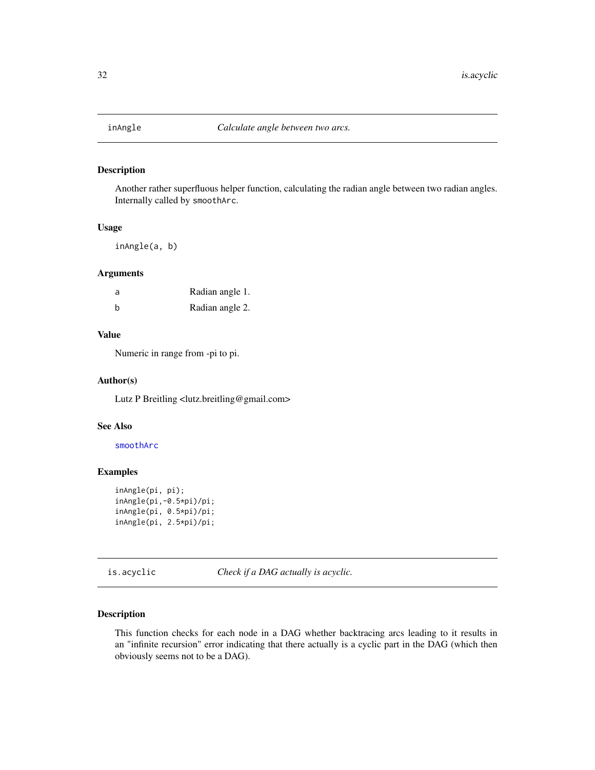<span id="page-31-0"></span>

Another rather superfluous helper function, calculating the radian angle between two radian angles. Internally called by smoothArc.

#### Usage

inAngle(a, b)

#### Arguments

| a | Radian angle 1. |
|---|-----------------|
| b | Radian angle 2. |

# Value

Numeric in range from -pi to pi.

# Author(s)

Lutz P Breitling <lutz.breitling@gmail.com>

#### See Also

[smoothArc](#page-37-1)

# Examples

```
inAngle(pi, pi);
inAngle(pi,-0.5*pi)/pi;
inAngle(pi, 0.5*pi)/pi;
inAngle(pi, 2.5*pi)/pi;
```
is.acyclic *Check if a DAG actually is acyclic.*

# Description

This function checks for each node in a DAG whether backtracing arcs leading to it results in an "infinite recursion" error indicating that there actually is a cyclic part in the DAG (which then obviously seems not to be a DAG).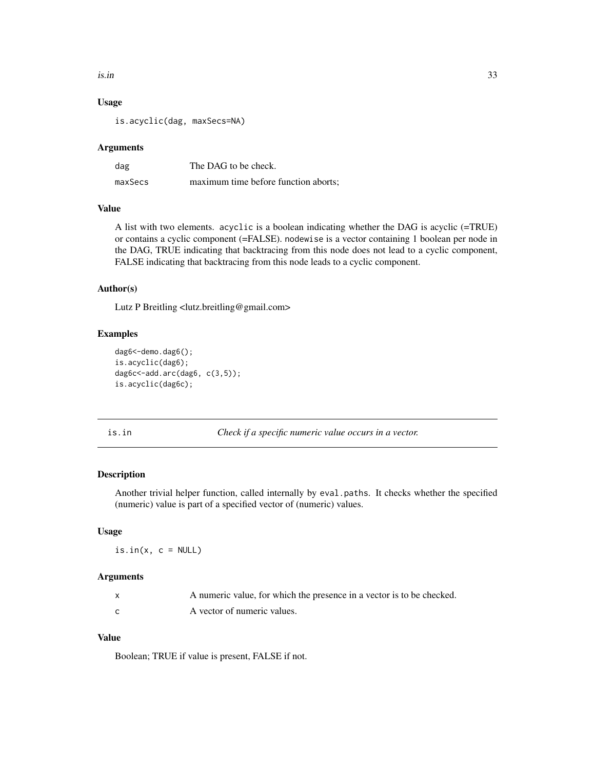#### <span id="page-32-0"></span>is.in 33

# Usage

is.acyclic(dag, maxSecs=NA)

#### Arguments

| dag     | The DAG to be check.                 |
|---------|--------------------------------------|
| maxSecs | maximum time before function aborts; |

# Value

A list with two elements. acyclic is a boolean indicating whether the DAG is acyclic (=TRUE) or contains a cyclic component (=FALSE). nodewise is a vector containing 1 boolean per node in the DAG, TRUE indicating that backtracing from this node does not lead to a cyclic component, FALSE indicating that backtracing from this node leads to a cyclic component.

# Author(s)

Lutz P Breitling <lutz.breitling@gmail.com>

#### Examples

```
dag6<-demo.dag6();
is.acyclic(dag6);
dag6c<-add.arc(dag6, c(3,5));
is.acyclic(dag6c);
```
is.in *Check if a specific numeric value occurs in a vector.*

# Description

Another trivial helper function, called internally by eval.paths. It checks whether the specified (numeric) value is part of a specified vector of (numeric) values.

#### Usage

 $is.in(x, c = NULL)$ 

#### Arguments

| A numeric value, for which the presence in a vector is to be checked. |
|-----------------------------------------------------------------------|
| A vector of numeric values.                                           |

# Value

Boolean; TRUE if value is present, FALSE if not.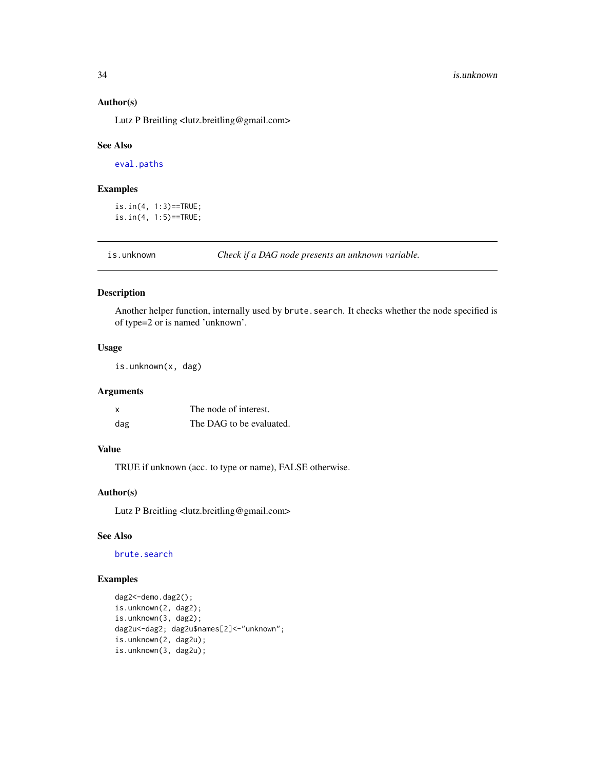# Author(s)

Lutz P Breitling <lutz.breitling@gmail.com>

#### See Also

[eval.paths](#page-27-1)

#### Examples

is.in(4, 1:3)==TRUE; is.in(4, 1:5)==TRUE;

is.unknown *Check if a DAG node presents an unknown variable.*

#### Description

Another helper function, internally used by brute. search. It checks whether the node specified is of type=2 or is named 'unknown'.

# Usage

is.unknown(x, dag)

# Arguments

| x   | The node of interest.    |
|-----|--------------------------|
| dag | The DAG to be evaluated. |

#### Value

TRUE if unknown (acc. to type or name), FALSE otherwise.

#### Author(s)

Lutz P Breitling <lutz.breitling@gmail.com>

# See Also

[brute.search](#page-9-1)

```
dag2<-demo.dag2();
is.unknown(2, dag2);
is.unknown(3, dag2);
dag2u<-dag2; dag2u$names[2]<-"unknown";
is.unknown(2, dag2u);
is.unknown(3, dag2u);
```
<span id="page-33-0"></span>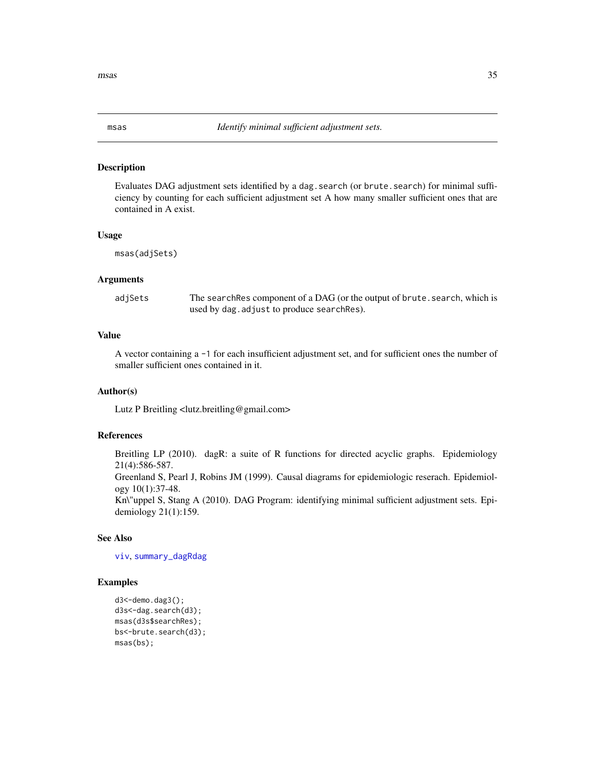<span id="page-34-1"></span><span id="page-34-0"></span>

Evaluates DAG adjustment sets identified by a dag.search (or brute.search) for minimal sufficiency by counting for each sufficient adjustment set A how many smaller sufficient ones that are contained in A exist.

#### Usage

msas(adjSets)

#### Arguments

adjSets The searchRes component of a DAG (or the output of brute. search, which is used by dag.adjust to produce searchRes).

# Value

A vector containing a -1 for each insufficient adjustment set, and for sufficient ones the number of smaller sufficient ones contained in it.

# Author(s)

Lutz P Breitling <lutz.breitling@gmail.com>

## References

Breitling LP (2010). dagR: a suite of R functions for directed acyclic graphs. Epidemiology 21(4):586-587.

Greenland S, Pearl J, Robins JM (1999). Causal diagrams for epidemiologic reserach. Epidemiology 10(1):37-48.

Kn\"uppel S, Stang A (2010). DAG Program: identifying minimal sufficient adjustment sets. Epidemiology 21(1):159.

# See Also

[viv](#page-39-1), [summary\\_dagRdag](#page-38-1)

```
d3<-demo.dag3();
d3s<-dag.search(d3);
msas(d3s$searchRes);
bs<-brute.search(d3);
msas(bs);
```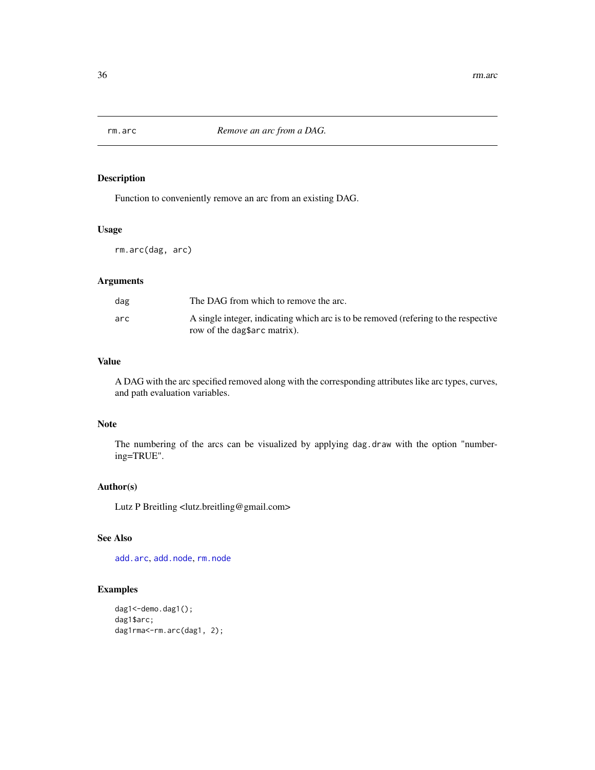<span id="page-35-1"></span><span id="page-35-0"></span>

Function to conveniently remove an arc from an existing DAG.

# Usage

rm.arc(dag, arc)

# Arguments

| dag | The DAG from which to remove the arc.                                                                              |
|-----|--------------------------------------------------------------------------------------------------------------------|
| arc | A single integer, indicating which arc is to be removed (refering to the respective<br>row of the dagsarc matrix). |

#### Value

A DAG with the arc specified removed along with the corresponding attributes like arc types, curves, and path evaluation variables.

### Note

The numbering of the arcs can be visualized by applying dag.draw with the option "numbering=TRUE".

# Author(s)

Lutz P Breitling <lutz.breitling@gmail.com>

# See Also

[add.arc](#page-3-1), [add.node](#page-4-1), [rm.node](#page-36-1)

```
dag1<-demo.dag1();
dag1$arc;
dag1rma <- rm.arc(dag1, 2);
```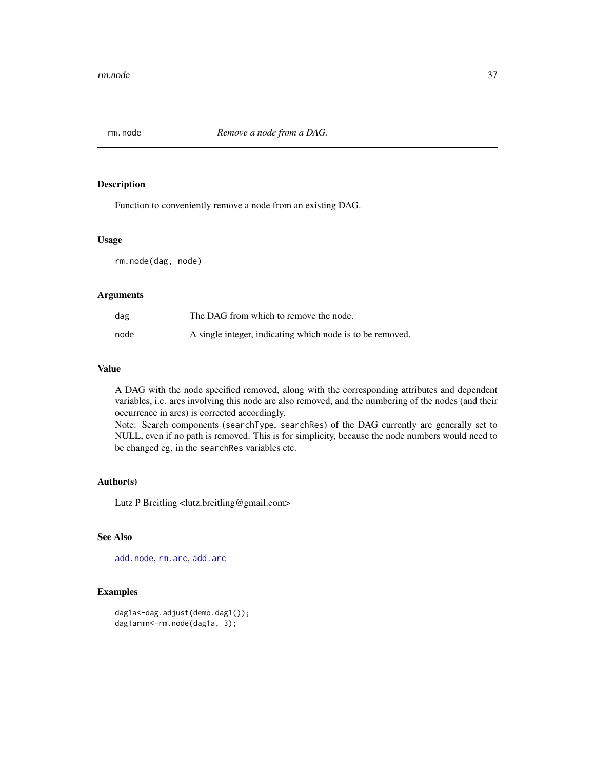<span id="page-36-1"></span><span id="page-36-0"></span>

Function to conveniently remove a node from an existing DAG.

#### Usage

rm.node(dag, node)

# Arguments

| dag  | The DAG from which to remove the node.                    |
|------|-----------------------------------------------------------|
| node | A single integer, indicating which node is to be removed. |

# Value

A DAG with the node specified removed, along with the corresponding attributes and dependent variables, i.e. arcs involving this node are also removed, and the numbering of the nodes (and their occurrence in arcs) is corrected accordingly.

Note: Search components (searchType, searchRes) of the DAG currently are generally set to NULL, even if no path is removed. This is for simplicity, because the node numbers would need to be changed eg. in the searchRes variables etc.

#### Author(s)

Lutz P Breitling <lutz.breitling@gmail.com>

# See Also

[add.node](#page-4-1), [rm.arc](#page-35-1), [add.arc](#page-3-1)

```
dag1a<-dag.adjust(demo.dag1());
dag1armn<-rm.node(dag1a, 3);
```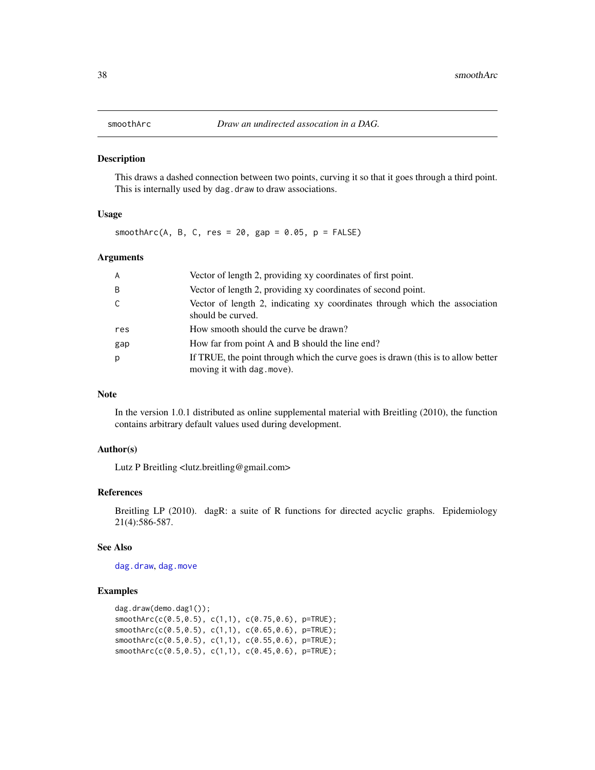<span id="page-37-1"></span><span id="page-37-0"></span>

This draws a dashed connection between two points, curving it so that it goes through a third point. This is internally used by dag.draw to draw associations.

# Usage

smoothArc(A, B, C, res = 20, gap =  $0.05$ , p =  $FALSE$ )

# Arguments

| A   | Vector of length 2, providing xy coordinates of first point.                                                    |
|-----|-----------------------------------------------------------------------------------------------------------------|
| B   | Vector of length 2, providing xy coordinates of second point.                                                   |
| C   | Vector of length 2, indicating xy coordinates through which the association<br>should be curved.                |
| res | How smooth should the curve be drawn?                                                                           |
| gap | How far from point A and B should the line end?                                                                 |
| p   | If TRUE, the point through which the curve goes is drawn (this is to allow better<br>moving it with dag. move). |

#### Note

In the version 1.0.1 distributed as online supplemental material with Breitling (2010), the function contains arbitrary default values used during development.

#### Author(s)

Lutz P Breitling <lutz.breitling@gmail.com>

#### References

Breitling LP (2010). dagR: a suite of R functions for directed acyclic graphs. Epidemiology 21(4):586-587.

#### See Also

[dag.draw](#page-13-1), [dag.move](#page-17-1)

```
dag.draw(demo.dag1());
smoothArc(c(0.5,0.5), c(1,1), c(0.75,0.6), p=TRUE);
smoothArc(c(0.5,0.5), c(1,1), c(0.65,0.6), p=TRUE);
smoothArc(c(0.5,0.5), c(1,1), c(0.55,0.6), p=TRUE);
smoothArc(c(0.5,0.5), c(1,1), c(0.45,0.6), p=TRUE);
```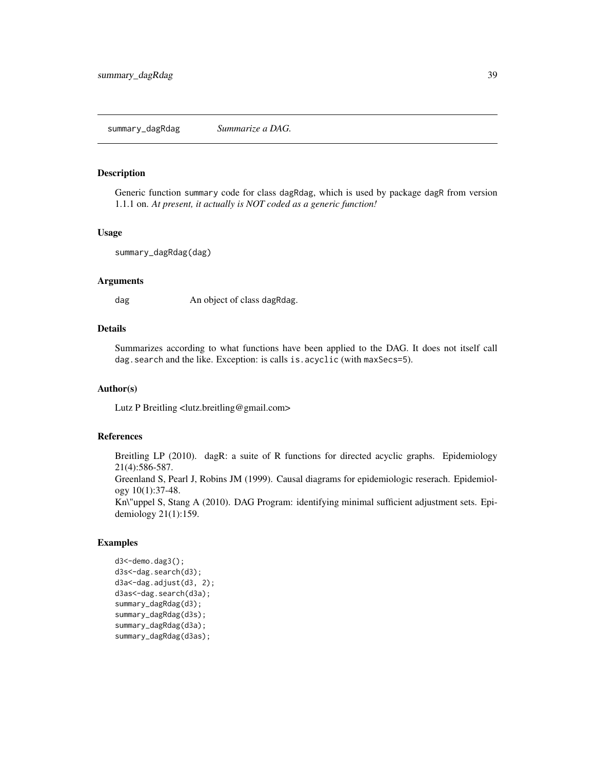<span id="page-38-1"></span><span id="page-38-0"></span>Generic function summary code for class dagRdag, which is used by package dagR from version 1.1.1 on. *At present, it actually is NOT coded as a generic function!*

#### Usage

```
summary_dagRdag(dag)
```
# Arguments

dag An object of class dagRdag.

#### Details

Summarizes according to what functions have been applied to the DAG. It does not itself call dag. search and the like. Exception: is calls is. acyclic (with maxSecs=5).

# Author(s)

Lutz P Breitling <lutz.breitling@gmail.com>

# References

Breitling LP (2010). dagR: a suite of R functions for directed acyclic graphs. Epidemiology 21(4):586-587.

Greenland S, Pearl J, Robins JM (1999). Causal diagrams for epidemiologic reserach. Epidemiology 10(1):37-48.

Kn\"uppel S, Stang A (2010). DAG Program: identifying minimal sufficient adjustment sets. Epidemiology 21(1):159.

```
d3<-demo.dag3();
d3s<-dag.search(d3);
d3a<-dag.adjust(d3, 2);
d3as<-dag.search(d3a);
summary_dagRdag(d3);
summary_dagRdag(d3s);
summary_dagRdag(d3a);
summary_dagRdag(d3as);
```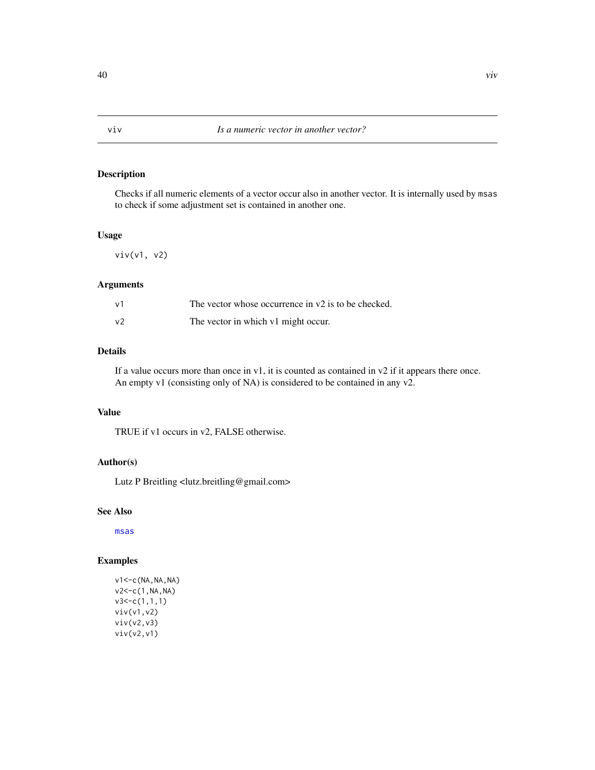Checks if all numeric elements of a vector occur also in another vector. It is internally used by msas to check if some adjustment set is contained in another one.

# Usage

viv(v1, v2)

# Arguments

| ν1 | The vector whose occurrence in $v2$ is to be checked. |
|----|-------------------------------------------------------|
| v2 | The vector in which v1 might occur.                   |

# Details

If a value occurs more than once in v1, it is counted as contained in v2 if it appears there once. An empty v1 (consisting only of NA) is considered to be contained in any v2.

# Value

TRUE if v1 occurs in v2, FALSE otherwise.

# Author(s)

Lutz P Breitling <lutz.breitling@gmail.com>

# See Also

[msas](#page-34-1)

# Examples

v1<-c(NA,NA,NA) v2<-c(1,NA,NA)  $v3 < -c(1,1,1)$ viv(v1,v2) viv(v2,v3) viv(v2,v1)

<span id="page-39-1"></span><span id="page-39-0"></span>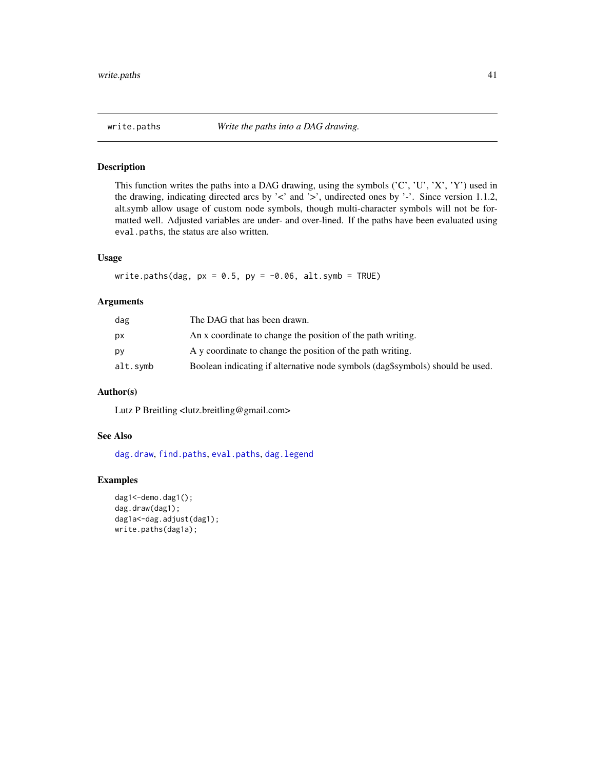<span id="page-40-1"></span><span id="page-40-0"></span>

This function writes the paths into a DAG drawing, using the symbols ('C', 'U', 'X', 'Y') used in the drawing, indicating directed arcs by '<' and '>', undirected ones by '-'. Since version 1.1.2, alt.symb allow usage of custom node symbols, though multi-character symbols will not be formatted well. Adjusted variables are under- and over-lined. If the paths have been evaluated using eval.paths, the status are also written.

# Usage

write.paths(dag,  $px = 0.5$ ,  $py = -0.06$ , alt.symb = TRUE)

#### Arguments

| dag      | The DAG that has been drawn.                                                  |
|----------|-------------------------------------------------------------------------------|
| pх       | An x coordinate to change the position of the path writing.                   |
| p٧       | A y coordinate to change the position of the path writing.                    |
| alt.symb | Boolean indicating if alternative node symbols (dag\$symbols) should be used. |
|          |                                                                               |

#### Author(s)

Lutz P Breitling <lutz.breitling@gmail.com>

# See Also

[dag.draw](#page-13-1), [find.paths](#page-29-1), [eval.paths](#page-27-1), [dag.legend](#page-16-2)

```
dag1<-demo.dag1();
dag.draw(dag1);
dag1a<-dag.adjust(dag1);
write.paths(dag1a);
```